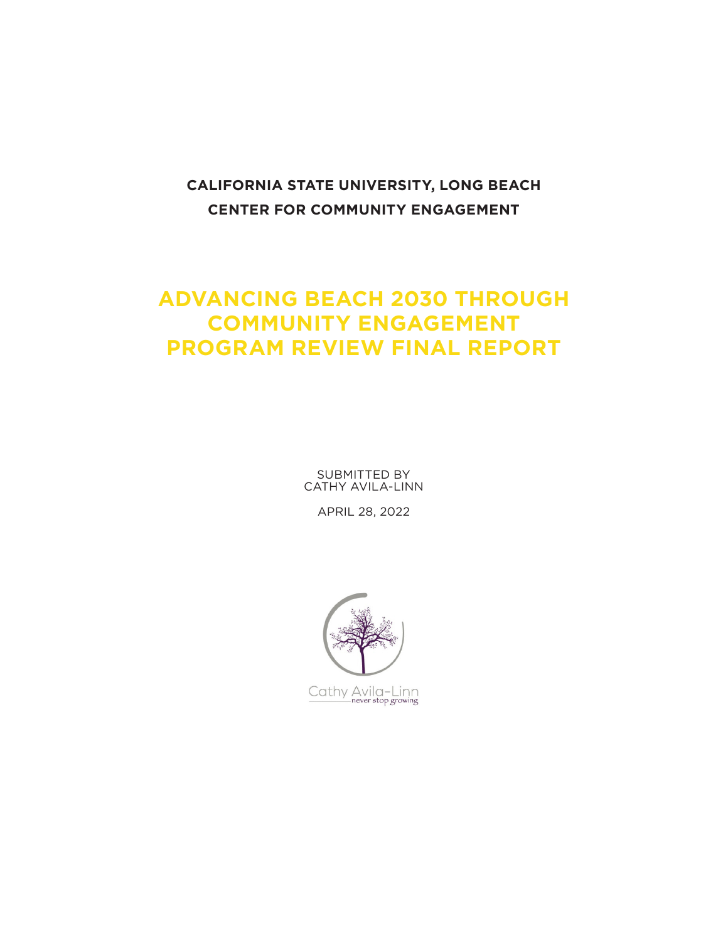## **CALIFORNIA STATE UNIVERSITY, LONG BEACH CENTER FOR COMMUNITY ENGAGEMENT**

## **ADVANCING BEACH 2030 THROUGH COMMUNITY ENGAGEMENT PROGRAM REVIEW FINAL REPORT**

SUBMITTED BY CATHY AVILA-LINN

APRIL 28, 2022

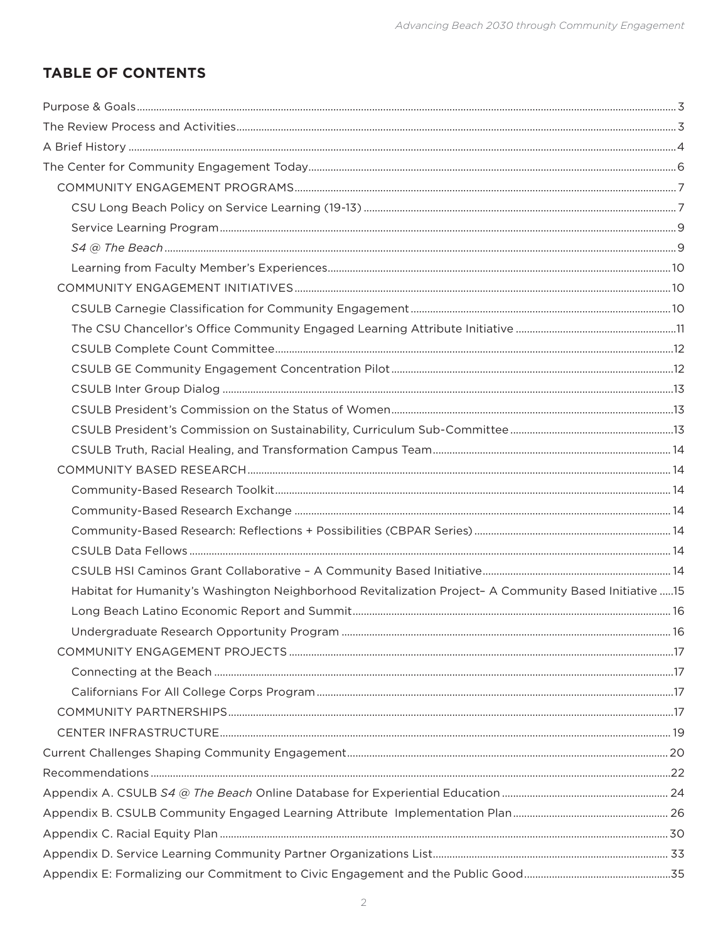## **TABLE OF CONTENTS**

| Habitat for Humanity's Washington Neighborhood Revitalization Project- A Community Based Initiative  15 |  |
|---------------------------------------------------------------------------------------------------------|--|
|                                                                                                         |  |
|                                                                                                         |  |
|                                                                                                         |  |
|                                                                                                         |  |
|                                                                                                         |  |
|                                                                                                         |  |
|                                                                                                         |  |
|                                                                                                         |  |
|                                                                                                         |  |
|                                                                                                         |  |
|                                                                                                         |  |
|                                                                                                         |  |
|                                                                                                         |  |
|                                                                                                         |  |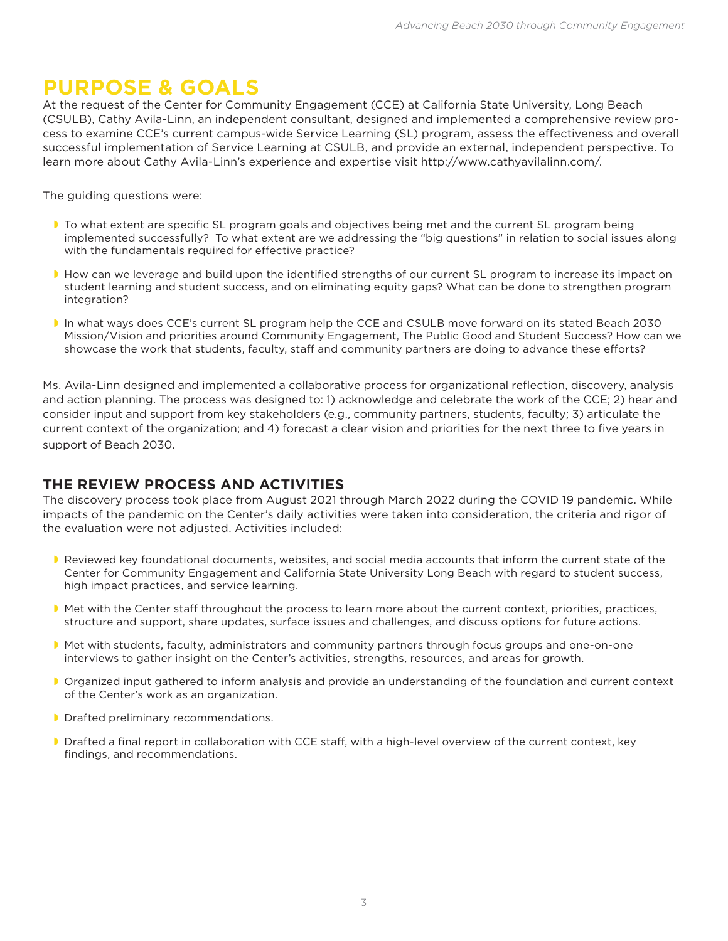# **PURPOSE & GOALS**

At the request of the Center for Community Engagement (CCE) at California State University, Long Beach (CSULB), Cathy Avila-Linn, an independent consultant, designed and implemented a comprehensive review process to examine CCE's current campus-wide Service Learning (SL) program, assess the effectiveness and overall successful implementation of Service Learning at CSULB, and provide an external, independent perspective. To learn more about Cathy Avila-Linn's experience and expertise visit http://www.cathyavilalinn.com/.

The guiding questions were:

- **T** To what extent are specific SL program goals and objectives being met and the current SL program being implemented successfully? To what extent are we addressing the "big questions" in relation to social issues along with the fundamentals required for effective practice?
- How can we leverage and build upon the identified strengths of our current SL program to increase its impact on student learning and student success, and on eliminating equity gaps? What can be done to strengthen program integration?
- In what ways does CCE's current SL program help the CCE and CSULB move forward on its stated Beach 2030 Mission/Vision and priorities around Community Engagement, The Public Good and Student Success? How can we showcase the work that students, faculty, staff and community partners are doing to advance these efforts?

Ms. Avila-Linn designed and implemented a collaborative process for organizational reflection, discovery, analysis and action planning. The process was designed to: 1) acknowledge and celebrate the work of the CCE; 2) hear and consider input and support from key stakeholders (e.g., community partners, students, faculty; 3) articulate the current context of the organization; and 4) forecast a clear vision and priorities for the next three to five years in support of Beach 2030.

## **THE REVIEW PROCESS AND ACTIVITIES**

The discovery process took place from August 2021 through March 2022 during the COVID 19 pandemic. While impacts of the pandemic on the Center's daily activities were taken into consideration, the criteria and rigor of the evaluation were not adjusted. Activities included:

- Reviewed key foundational documents, websites, and social media accounts that inform the current state of the Center for Community Engagement and California State University Long Beach with regard to student success, high impact practices, and service learning.
- Met with the Center staff throughout the process to learn more about the current context, priorities, practices, structure and support, share updates, surface issues and challenges, and discuss options for future actions.
- Met with students, faculty, administrators and community partners through focus groups and one-on-one interviews to gather insight on the Center's activities, strengths, resources, and areas for growth.
- Organized input gathered to inform analysis and provide an understanding of the foundation and current context of the Center's work as an organization.
- **D** Drafted preliminary recommendations.
- Drafted a final report in collaboration with CCE staff, with a high-level overview of the current context, key findings, and recommendations.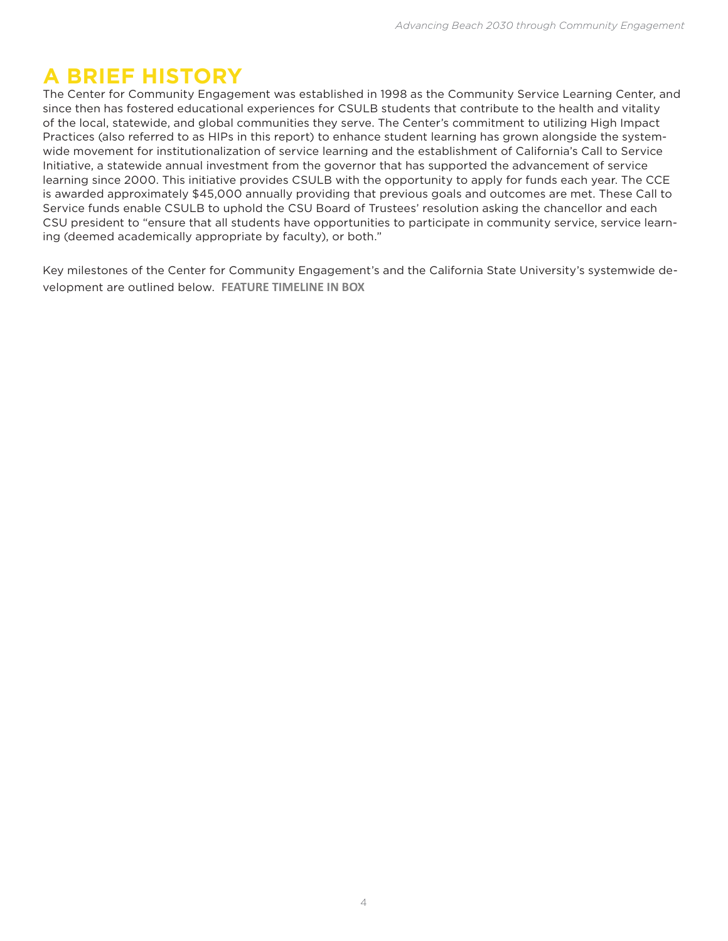## **A BRIEF HISTORY**

The Center for Community Engagement was established in 1998 as the Community Service Learning Center, and since then has fostered educational experiences for CSULB students that contribute to the health and vitality of the local, statewide, and global communities they serve. The Center's commitment to utilizing High Impact Practices (also referred to as HIPs in this report) to enhance student learning has grown alongside the systemwide movement for institutionalization of service learning and the establishment of California's Call to Service Initiative, a statewide annual investment from the governor that has supported the advancement of service learning since 2000. This initiative provides CSULB with the opportunity to apply for funds each year. The CCE is awarded approximately \$45,000 annually providing that previous goals and outcomes are met. These Call to Service funds enable CSULB to uphold the CSU Board of Trustees' resolution asking the chancellor and each CSU president to "ensure that all students have opportunities to participate in community service, service learning (deemed academically appropriate by faculty), or both."

Key milestones of the Center for Community Engagement's and the California State University's systemwide development are outlined below. **FEATURE TIMELINE IN BOX**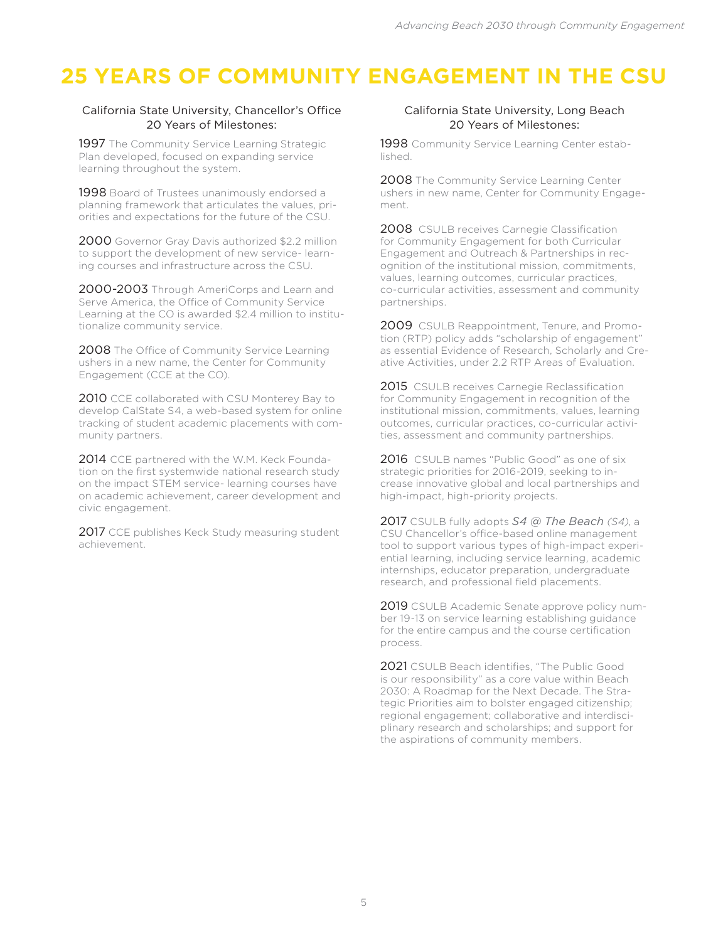# **25 YEARS OF COMMUNITY ENGAGEMENT IN THE CSU**

#### California State University, Chancellor's Office 20 Years of Milestones:

1997 The Community Service Learning Strategic Plan developed, focused on expanding service learning throughout the system.

1998 Board of Trustees unanimously endorsed a planning framework that articulates the values, priorities and expectations for the future of the CSU.

2000 Governor Gray Davis authorized \$2.2 million to support the development of new service- learning courses and infrastructure across the CSU.

2000-2003 Through AmeriCorps and Learn and Serve America, the Office of Community Service Learning at the CO is awarded \$2.4 million to institutionalize community service.

2008 The Office of Community Service Learning ushers in a new name, the Center for Community Engagement (CCE at the CO).

2010 CCE collaborated with CSU Monterey Bay to develop CalState S4, a web-based system for online tracking of student academic placements with community partners.

2014 CCE partnered with the W.M. Keck Foundation on the first systemwide national research study on the impact STEM service- learning courses have on academic achievement, career development and civic engagement.

2017 CCE publishes Keck Study measuring student achievement.

#### California State University, Long Beach 20 Years of Milestones:

1998 Community Service Learning Center established.

2008 The Community Service Learning Center ushers in new name, Center for Community Engagement.

2008 CSULB receives Carnegie Classification for Community Engagement for both Curricular Engagement and Outreach & Partnerships in recognition of the institutional mission, commitments, values, learning outcomes, curricular practices, co-curricular activities, assessment and community partnerships.

2009 CSULB Reappointment, Tenure, and Promotion (RTP) policy adds "scholarship of engagement" as essential Evidence of Research, Scholarly and Creative Activities, under 2.2 RTP Areas of Evaluation.

2015 CSULB receives Carnegie Reclassification for Community Engagement in recognition of the institutional mission, commitments, values, learning outcomes, curricular practices, co-curricular activities, assessment and community partnerships.

2016 CSULB names "Public Good" as one of six strategic priorities for 2016-2019, seeking to increase innovative global and local partnerships and high-impact, high-priority projects.

2017 CSULB fully adopts *S4 @ The Beach (S4)*, a CSU Chancellor's office-based online management tool to support various types of high-impact experiential learning, including service learning, academic internships, educator preparation, undergraduate research, and professional field placements.

2019 CSULB Academic Senate approve policy number 19-13 on service learning establishing guidance for the entire campus and the course certification process.

2021 CSULB Beach identifies, "The Public Good is our responsibility" as a core value within Beach 2030: A Roadmap for the Next Decade. The Strategic Priorities aim to bolster engaged citizenship; regional engagement; collaborative and interdisciplinary research and scholarships; and support for the aspirations of community members.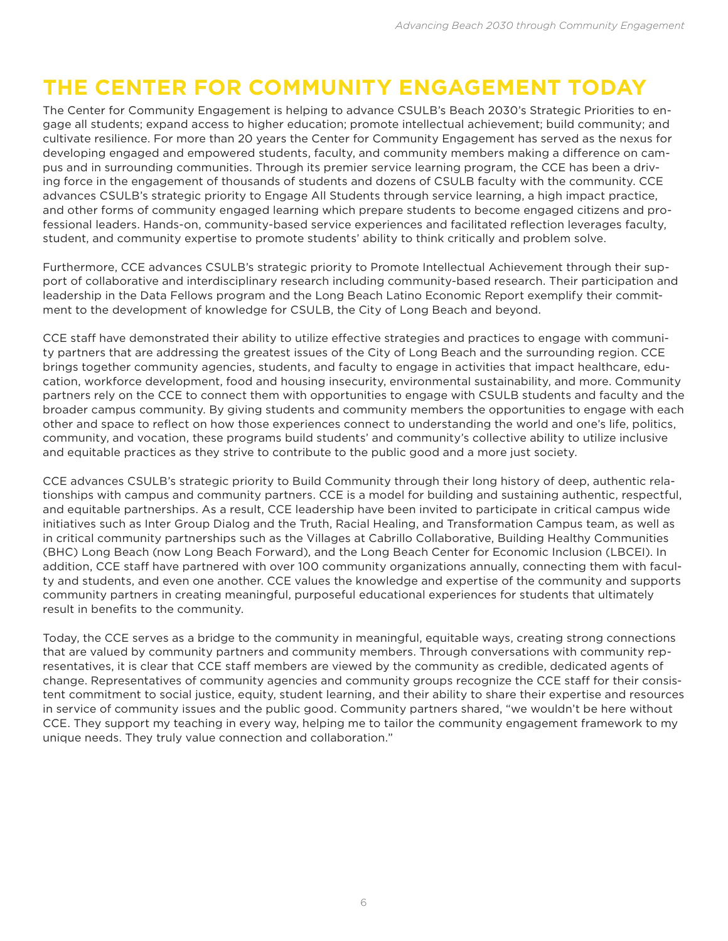# **THE CENTER FOR COMMUNITY ENGAGEMENT TODAY**

The Center for Community Engagement is helping to advance CSULB's Beach 2030's Strategic Priorities to engage all students; expand access to higher education; promote intellectual achievement; build community; and cultivate resilience. For more than 20 years the Center for Community Engagement has served as the nexus for developing engaged and empowered students, faculty, and community members making a difference on campus and in surrounding communities. Through its premier service learning program, the CCE has been a driving force in the engagement of thousands of students and dozens of CSULB faculty with the community. CCE advances CSULB's strategic priority to Engage All Students through service learning, a high impact practice, and other forms of community engaged learning which prepare students to become engaged citizens and professional leaders. Hands-on, community-based service experiences and facilitated reflection leverages faculty, student, and community expertise to promote students' ability to think critically and problem solve.

Furthermore, CCE advances CSULB's strategic priority to Promote Intellectual Achievement through their support of collaborative and interdisciplinary research including community-based research. Their participation and leadership in the Data Fellows program and the Long Beach Latino Economic Report exemplify their commitment to the development of knowledge for CSULB, the City of Long Beach and beyond.

CCE staff have demonstrated their ability to utilize effective strategies and practices to engage with community partners that are addressing the greatest issues of the City of Long Beach and the surrounding region. CCE brings together community agencies, students, and faculty to engage in activities that impact healthcare, education, workforce development, food and housing insecurity, environmental sustainability, and more. Community partners rely on the CCE to connect them with opportunities to engage with CSULB students and faculty and the broader campus community. By giving students and community members the opportunities to engage with each other and space to reflect on how those experiences connect to understanding the world and one's life, politics, community, and vocation, these programs build students' and community's collective ability to utilize inclusive and equitable practices as they strive to contribute to the public good and a more just society.

CCE advances CSULB's strategic priority to Build Community through their long history of deep, authentic relationships with campus and community partners. CCE is a model for building and sustaining authentic, respectful, and equitable partnerships. As a result, CCE leadership have been invited to participate in critical campus wide initiatives such as Inter Group Dialog and the Truth, Racial Healing, and Transformation Campus team, as well as in critical community partnerships such as the Villages at Cabrillo Collaborative, Building Healthy Communities (BHC) Long Beach (now Long Beach Forward), and the Long Beach Center for Economic Inclusion (LBCEI). In addition, CCE staff have partnered with over 100 community organizations annually, connecting them with faculty and students, and even one another. CCE values the knowledge and expertise of the community and supports community partners in creating meaningful, purposeful educational experiences for students that ultimately result in benefits to the community.

Today, the CCE serves as a bridge to the community in meaningful, equitable ways, creating strong connections that are valued by community partners and community members. Through conversations with community representatives, it is clear that CCE staff members are viewed by the community as credible, dedicated agents of change. Representatives of community agencies and community groups recognize the CCE staff for their consistent commitment to social justice, equity, student learning, and their ability to share their expertise and resources in service of community issues and the public good. Community partners shared, "we wouldn't be here without CCE. They support my teaching in every way, helping me to tailor the community engagement framework to my unique needs. They truly value connection and collaboration."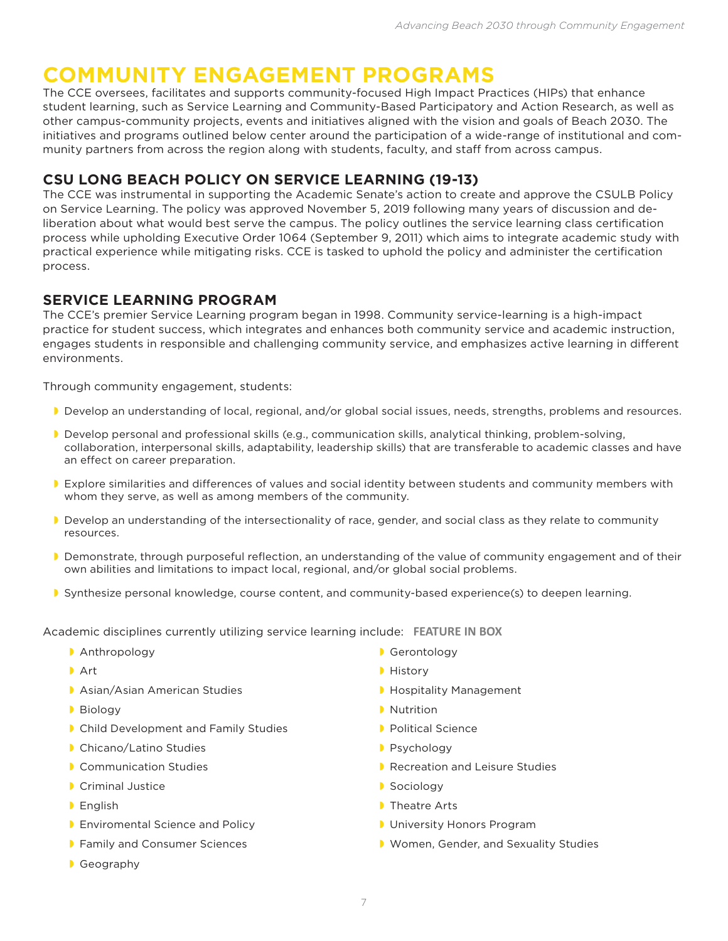## **COMMUNITY ENGAGEMENT PROGRAMS**

The CCE oversees, facilitates and supports community-focused High Impact Practices (HIPs) that enhance student learning, such as Service Learning and Community-Based Participatory and Action Research, as well as other campus-community projects, events and initiatives aligned with the vision and goals of Beach 2030. The initiatives and programs outlined below center around the participation of a wide-range of institutional and community partners from across the region along with students, faculty, and staff from across campus.

## **CSU LONG BEACH POLICY ON SERVICE LEARNING (19-13)**

The CCE was instrumental in supporting the Academic Senate's action to create and approve the CSULB Policy on Service Learning. The policy was approved November 5, 2019 following many years of discussion and deliberation about what would best serve the campus. The policy outlines the service learning class certification process while upholding Executive Order 1064 (September 9, 2011) which aims to integrate academic study with practical experience while mitigating risks. CCE is tasked to uphold the policy and administer the certification process.

## **SERVICE LEARNING PROGRAM**

The CCE's premier Service Learning program began in 1998. Community service-learning is a high-impact practice for student success, which integrates and enhances both community service and academic instruction, engages students in responsible and challenging community service, and emphasizes active learning in different environments.

Through community engagement, students:

- Develop an understanding of local, regional, and/or global social issues, needs, strengths, problems and resources.
- Develop personal and professional skills (e.g., communication skills, analytical thinking, problem-solving, collaboration, interpersonal skills, adaptability, leadership skills) that are transferable to academic classes and have an effect on career preparation.
- Explore similarities and differences of values and social identity between students and community members with whom they serve, as well as among members of the community.
- Develop an understanding of the intersectionality of race, gender, and social class as they relate to community resources.
- Demonstrate, through purposeful reflection, an understanding of the value of community engagement and of their own abilities and limitations to impact local, regional, and/or global social problems.
- Synthesize personal knowledge, course content, and community-based experience(s) to deepen learning.

Academic disciplines currently utilizing service learning include: **FEATURE IN BOX**

- **Anthropology Gerontology Gerontology**
- 
- **Asian/Asian American Studies and American Studies Act American Studies Act American Studies Act American Studies**
- 
- **Child Development and Family Studies Child Development and Family Studies Children Child Development and Family Studies**
- **Chicano/Latino Studies and Studies and Studies According to According the Chicano/Latino Studies According to According the Chicago Provident According to According the Chicago Provident According to According the Chicago**
- 
- **Criminal Justice Community Construction Community Construction Community Construction Community Construction Community Construction Community Construction Community Construction Community Construction Community Community**
- 
- **Enviromental Science and Policy and Policy Construction Construction Program**
- 
- **Geography**
- 
- **Art History** 
	-
- **D** Biology **Nutrition** 
	-
	-
- **Communication Studies and Leisure Studies Acception Accept Accept Accept Accept** P. Recreation and Leisure Studies
	-
- **English Theatre Arts** 
	-
- **Family and Consumer Sciences**  Women, Gender, and Sexuality Studies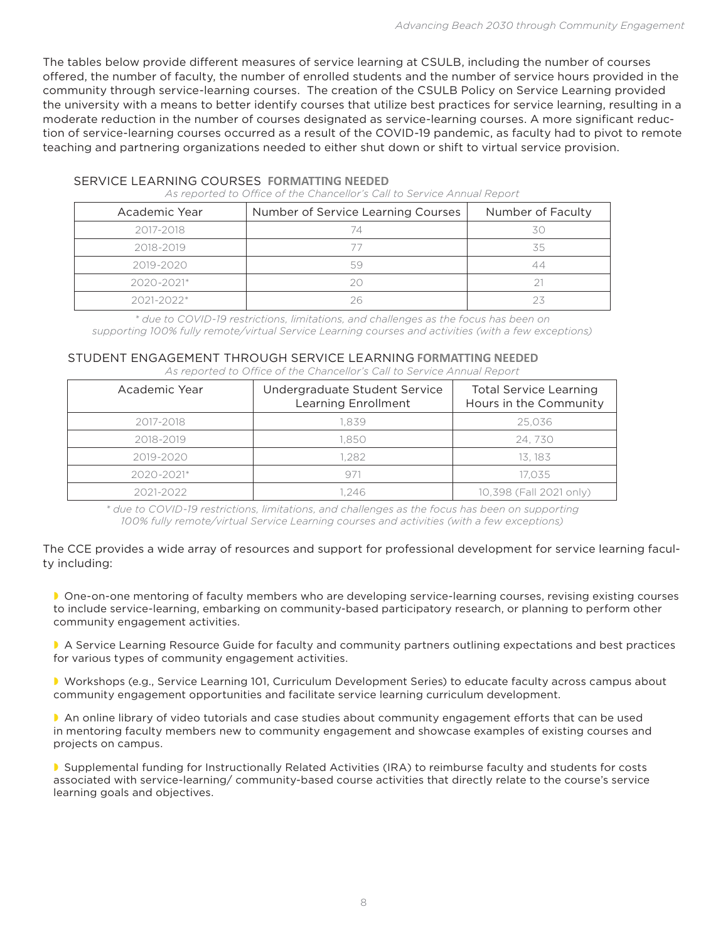The tables below provide different measures of service learning at CSULB, including the number of courses offered, the number of faculty, the number of enrolled students and the number of service hours provided in the community through service-learning courses. The creation of the CSULB Policy on Service Learning provided the university with a means to better identify courses that utilize best practices for service learning, resulting in a moderate reduction in the number of courses designated as service-learning courses. A more significant reduction of service-learning courses occurred as a result of the COVID-19 pandemic, as faculty had to pivot to remote teaching and partnering organizations needed to either shut down or shift to virtual service provision.

| Academic Year  | Number of Service Learning Courses | Number of Faculty |  |
|----------------|------------------------------------|-------------------|--|
| 2017-2018      | 74                                 | 3C                |  |
| 2018-2019      |                                    | 35                |  |
| 2019-2020      | 59                                 |                   |  |
| $2020 - 2021*$ |                                    |                   |  |
| $2021 - 2022*$ |                                    |                   |  |

#### SERVICE LEARNING COURSES **FORMATTING NEEDED**

*As reported to Office of the Chancellor's Call to Service Annual Report*

*\* due to COVID-19 restrictions, limitations, and challenges as the focus has been on supporting 100% fully remote/virtual Service Learning courses and activities (with a few exceptions)*

### STUDENT ENGAGEMENT THROUGH SERVICE LEARNING **FORMATTING NEEDED**

*As reported to Office of the Chancellor's Call to Service Annual Report*

| Academic Year  | Undergraduate Student Service<br>Learning Enrollment | <b>Total Service Learning</b><br>Hours in the Community |
|----------------|------------------------------------------------------|---------------------------------------------------------|
| 2017-2018      | 1.839                                                | 25.036                                                  |
| 2018-2019      | 1.850                                                | 24.730                                                  |
| 2019-2020      | 1.282                                                | 13. 183                                                 |
| $2020 - 2021*$ | 971                                                  | 17.035                                                  |
| 2021-2022      | 1.246                                                | 10,398 (Fall 2021 only)                                 |

*\* due to COVID-19 restrictions, limitations, and challenges as the focus has been on supporting 100% fully remote/virtual Service Learning courses and activities (with a few exceptions)*

The CCE provides a wide array of resources and support for professional development for service learning faculty including:

 One-on-one mentoring of faculty members who are developing service-learning courses, revising existing courses to include service-learning, embarking on community-based participatory research, or planning to perform other community engagement activities.

 A Service Learning Resource Guide for faculty and community partners outlining expectations and best practices for various types of community engagement activities.

 Workshops (e.g., Service Learning 101, Curriculum Development Series) to educate faculty across campus about community engagement opportunities and facilitate service learning curriculum development.

 An online library of video tutorials and case studies about community engagement efforts that can be used in mentoring faculty members new to community engagement and showcase examples of existing courses and projects on campus.

 Supplemental funding for Instructionally Related Activities (IRA) to reimburse faculty and students for costs associated with service-learning/ community-based course activities that directly relate to the course's service learning goals and objectives.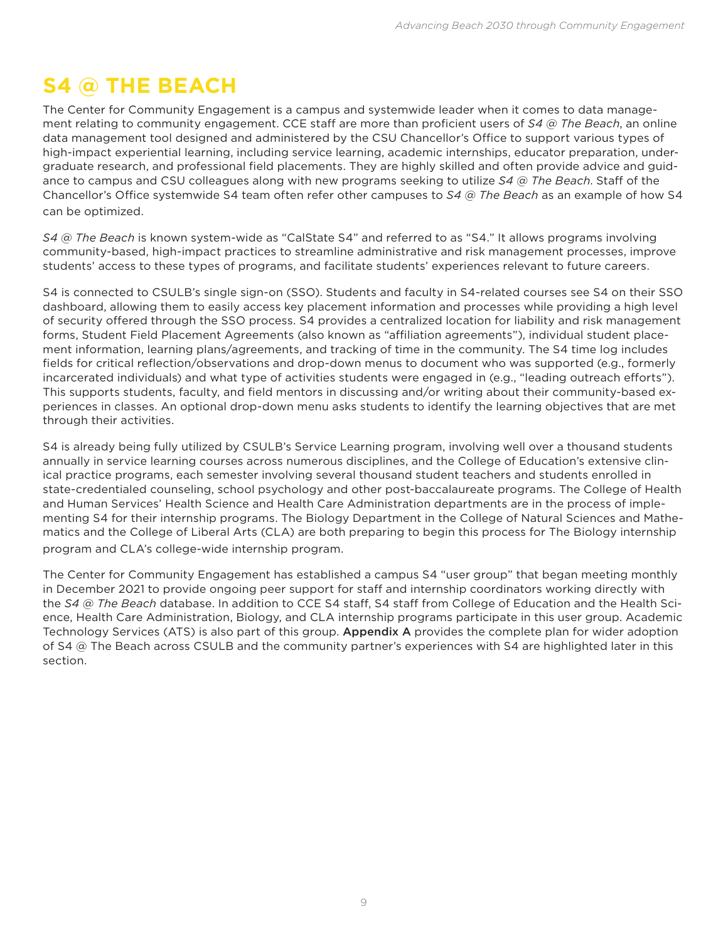# **S4 @ THE BEACH**

The Center for Community Engagement is a campus and systemwide leader when it comes to data management relating to community engagement. CCE staff are more than proficient users of *S4 @ The Beach*, an online data management tool designed and administered by the CSU Chancellor's Office to support various types of high-impact experiential learning, including service learning, academic internships, educator preparation, undergraduate research, and professional field placements. They are highly skilled and often provide advice and guidance to campus and CSU colleagues along with new programs seeking to utilize *S4 @ The Beach*. Staff of the Chancellor's Office systemwide S4 team often refer other campuses to *S4 @ The Beach* as an example of how S4 can be optimized.

*S4 @ The Beach* is known system-wide as "CalState S4" and referred to as "S4." It allows programs involving community-based, high-impact practices to streamline administrative and risk management processes, improve students' access to these types of programs, and facilitate students' experiences relevant to future careers.

S4 is connected to CSULB's single sign-on (SSO). Students and faculty in S4-related courses see S4 on their SSO dashboard, allowing them to easily access key placement information and processes while providing a high level of security offered through the SSO process. S4 provides a centralized location for liability and risk management forms, Student Field Placement Agreements (also known as "affiliation agreements"), individual student placement information, learning plans/agreements, and tracking of time in the community. The S4 time log includes fields for critical reflection/observations and drop-down menus to document who was supported (e.g., formerly incarcerated individuals) and what type of activities students were engaged in (e.g., "leading outreach efforts"). This supports students, faculty, and field mentors in discussing and/or writing about their community-based experiences in classes. An optional drop-down menu asks students to identify the learning objectives that are met through their activities.

S4 is already being fully utilized by CSULB's Service Learning program, involving well over a thousand students annually in service learning courses across numerous disciplines, and the College of Education's extensive clinical practice programs, each semester involving several thousand student teachers and students enrolled in state-credentialed counseling, school psychology and other post-baccalaureate programs. The College of Health and Human Services' Health Science and Health Care Administration departments are in the process of implementing S4 for their internship programs. The Biology Department in the College of Natural Sciences and Mathematics and the College of Liberal Arts (CLA) are both preparing to begin this process for The Biology internship program and CLA's college-wide internship program.

The Center for Community Engagement has established a campus S4 "user group" that began meeting monthly in December 2021 to provide ongoing peer support for staff and internship coordinators working directly with the *S4 @ The Beach* database. In addition to CCE S4 staff, S4 staff from College of Education and the Health Science, Health Care Administration, Biology, and CLA internship programs participate in this user group. Academic Technology Services (ATS) is also part of this group. Appendix A provides the complete plan for wider adoption of S4 @ The Beach across CSULB and the community partner's experiences with S4 are highlighted later in this section.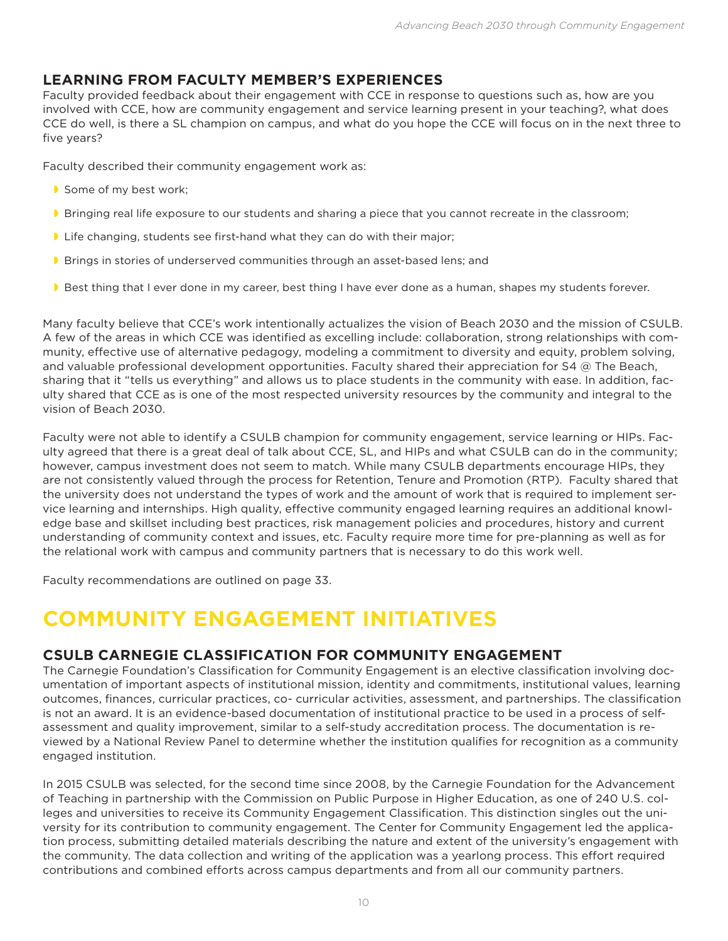## **LEARNING FROM FACULTY MEMBER'S EXPERIENCES**

Faculty provided feedback about their engagement with CCE in response to questions such as, how are you involved with CCE, how are community engagement and service learning present in your teaching?, what does CCE do well, is there a SL champion on campus, and what do you hope the CCE will focus on in the next three to five years?

Faculty described their community engagement work as:

- Some of my best work;
- **Bringing real life exposure to our students and sharing a piece that you cannot recreate in the classroom;**
- **I** Life changing, students see first-hand what they can do with their major;
- **Brings in stories of underserved communities through an asset-based lens; and**
- Best thing that I ever done in my career, best thing I have ever done as a human, shapes my students forever.

Many faculty believe that CCE's work intentionally actualizes the vision of Beach 2030 and the mission of CSULB. A few of the areas in which CCE was identified as excelling include: collaboration, strong relationships with community, effective use of alternative pedagogy, modeling a commitment to diversity and equity, problem solving, and valuable professional development opportunities. Faculty shared their appreciation for S4 @ The Beach, sharing that it "tells us everything" and allows us to place students in the community with ease. In addition, faculty shared that CCE as is one of the most respected university resources by the community and integral to the vision of Beach 2030.

Faculty were not able to identify a CSULB champion for community engagement, service learning or HIPs. Faculty agreed that there is a great deal of talk about CCE, SL, and HIPs and what CSULB can do in the community; however, campus investment does not seem to match. While many CSULB departments encourage HIPs, they are not consistently valued through the process for Retention, Tenure and Promotion (RTP). Faculty shared that the university does not understand the types of work and the amount of work that is required to implement service learning and internships. High quality, effective community engaged learning requires an additional knowledge base and skillset including best practices, risk management policies and procedures, history and current understanding of community context and issues, etc. Faculty require more time for pre-planning as well as for the relational work with campus and community partners that is necessary to do this work well.

Faculty recommendations are outlined on page 33.

# **COMMUNITY ENGAGEMENT INITIATIVES**

## **CSULB CARNEGIE CLASSIFICATION FOR COMMUNITY ENGAGEMENT**

The Carnegie Foundation's Classification for Community Engagement is an elective classification involving documentation of important aspects of institutional mission, identity and commitments, institutional values, learning outcomes, finances, curricular practices, co- curricular activities, assessment, and partnerships. The classification is not an award. It is an evidence-based documentation of institutional practice to be used in a process of selfassessment and quality improvement, similar to a self-study accreditation process. The documentation is reviewed by a National Review Panel to determine whether the institution qualifies for recognition as a community engaged institution.

In 2015 CSULB was selected, for the second time since 2008, by the Carnegie Foundation for the Advancement of Teaching in partnership with the Commission on Public Purpose in Higher Education, as one of 240 U.S. colleges and universities to receive its Community Engagement Classification. This distinction singles out the university for its contribution to community engagement. The Center for Community Engagement led the application process, submitting detailed materials describing the nature and extent of the university's engagement with the community. The data collection and writing of the application was a yearlong process. This effort required contributions and combined efforts across campus departments and from all our community partners.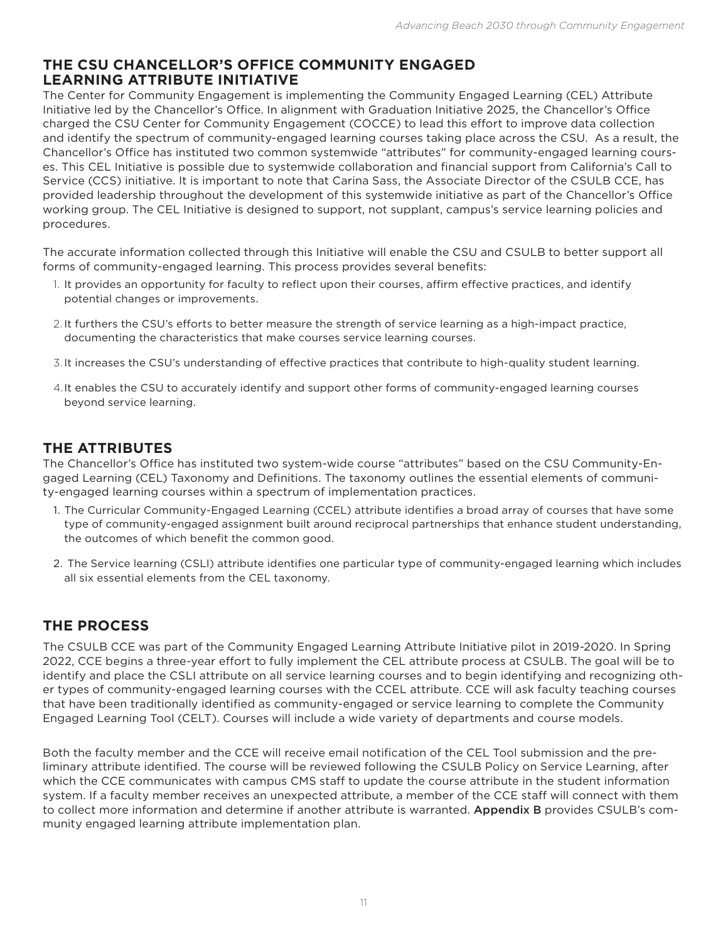## **THE CSU CHANCELLOR'S OFFICE COMMUNITY ENGAGED LEARNING ATTRIBUTE INITIATIVE**

The Center for Community Engagement is implementing the Community Engaged Learning (CEL) Attribute Initiative led by the Chancellor's Office. In alignment with Graduation Initiative 2025, the Chancellor's Office charged the CSU Center for Community Engagement (COCCE) to lead this effort to improve data collection and identify the spectrum of community-engaged learning courses taking place across the CSU. As a result, the Chancellor's Office has instituted two common systemwide "attributes" for community-engaged learning courses. This CEL Initiative is possible due to systemwide collaboration and financial support from California's Call to Service (CCS) initiative. It is important to note that Carina Sass, the Associate Director of the CSULB CCE, has provided leadership throughout the development of this systemwide initiative as part of the Chancellor's Office working group. The CEL Initiative is designed to support, not supplant, campus's service learning policies and procedures.

The accurate information collected through this Initiative will enable the CSU and CSULB to better support all forms of community-engaged learning. This process provides several benefits:

- 1. It provides an opportunity for faculty to reflect upon their courses, affirm effective practices, and identify potential changes or improvements.
- 2. It furthers the CSU's efforts to better measure the strength of service learning as a high-impact practice, documenting the characteristics that make courses service learning courses.
- 3.It increases the CSU's understanding of effective practices that contribute to high-quality student learning.
- 4.It enables the CSU to accurately identify and support other forms of community-engaged learning courses beyond service learning.

## **THE ATTRIBUTES**

The Chancellor's Office has instituted two system-wide course "attributes" based on the CSU Community-Engaged Learning (CEL) Taxonomy and Definitions. The taxonomy outlines the essential elements of community-engaged learning courses within a spectrum of implementation practices.

- 1. The Curricular Community-Engaged Learning (CCEL) attribute identifies a broad array of courses that have some type of community-engaged assignment built around reciprocal partnerships that enhance student understanding, the outcomes of which benefit the common good.
- 2. The Service learning (CSLI) attribute identifies one particular type of community-engaged learning which includes all six essential elements from the CEL taxonomy.

## **THE PROCESS**

The CSULB CCE was part of the Community Engaged Learning Attribute Initiative pilot in 2019-2020. In Spring 2022, CCE begins a three-year effort to fully implement the CEL attribute process at CSULB. The goal will be to identify and place the CSLI attribute on all service learning courses and to begin identifying and recognizing other types of community-engaged learning courses with the CCEL attribute. CCE will ask faculty teaching courses that have been traditionally identified as community-engaged or service learning to complete the Community Engaged Learning Tool (CELT). Courses will include a wide variety of departments and course models.

Both the faculty member and the CCE will receive email notification of the CEL Tool submission and the preliminary attribute identified. The course will be reviewed following the CSULB Policy on Service Learning, after which the CCE communicates with campus CMS staff to update the course attribute in the student information system. If a faculty member receives an unexpected attribute, a member of the CCE staff will connect with them to collect more information and determine if another attribute is warranted. Appendix B provides CSULB's community engaged learning attribute implementation plan.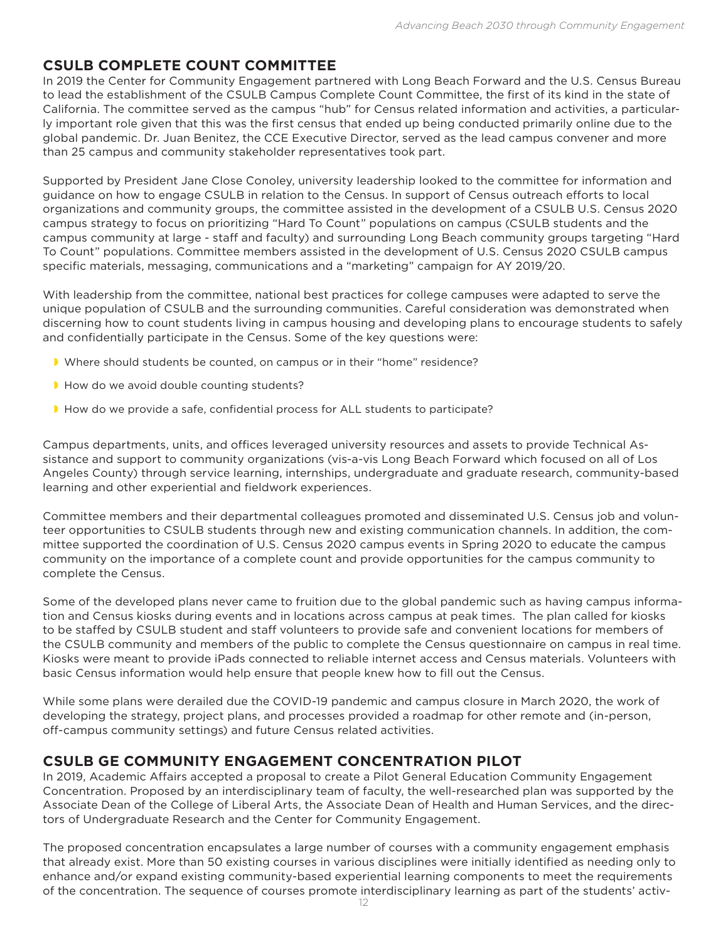## **CSULB COMPLETE COUNT COMMITTEE**

In 2019 the Center for Community Engagement partnered with Long Beach Forward and the U.S. Census Bureau to lead the establishment of the CSULB Campus Complete Count Committee, the first of its kind in the state of California. The committee served as the campus "hub" for Census related information and activities, a particularly important role given that this was the first census that ended up being conducted primarily online due to the global pandemic. Dr. Juan Benitez, the CCE Executive Director, served as the lead campus convener and more than 25 campus and community stakeholder representatives took part.

Supported by President Jane Close Conoley, university leadership looked to the committee for information and guidance on how to engage CSULB in relation to the Census. In support of Census outreach efforts to local organizations and community groups, the committee assisted in the development of a CSULB U.S. Census 2020 campus strategy to focus on prioritizing "Hard To Count" populations on campus (CSULB students and the campus community at large - staff and faculty) and surrounding Long Beach community groups targeting "Hard To Count" populations. Committee members assisted in the development of U.S. Census 2020 CSULB campus specific materials, messaging, communications and a "marketing" campaign for AY 2019/20.

With leadership from the committee, national best practices for college campuses were adapted to serve the unique population of CSULB and the surrounding communities. Careful consideration was demonstrated when discerning how to count students living in campus housing and developing plans to encourage students to safely and confidentially participate in the Census. Some of the key questions were:

- Where should students be counted, on campus or in their "home" residence?
- How do we avoid double counting students?
- How do we provide a safe, confidential process for ALL students to participate?

Campus departments, units, and offices leveraged university resources and assets to provide Technical Assistance and support to community organizations (vis-a-vis Long Beach Forward which focused on all of Los Angeles County) through service learning, internships, undergraduate and graduate research, community-based learning and other experiential and fieldwork experiences.

Committee members and their departmental colleagues promoted and disseminated U.S. Census job and volunteer opportunities to CSULB students through new and existing communication channels. In addition, the committee supported the coordination of U.S. Census 2020 campus events in Spring 2020 to educate the campus community on the importance of a complete count and provide opportunities for the campus community to complete the Census.

Some of the developed plans never came to fruition due to the global pandemic such as having campus information and Census kiosks during events and in locations across campus at peak times. The plan called for kiosks to be staffed by CSULB student and staff volunteers to provide safe and convenient locations for members of the CSULB community and members of the public to complete the Census questionnaire on campus in real time. Kiosks were meant to provide iPads connected to reliable internet access and Census materials. Volunteers with basic Census information would help ensure that people knew how to fill out the Census.

While some plans were derailed due the COVID-19 pandemic and campus closure in March 2020, the work of developing the strategy, project plans, and processes provided a roadmap for other remote and (in-person, off-campus community settings) and future Census related activities.

## **CSULB GE COMMUNITY ENGAGEMENT CONCENTRATION PILOT**

In 2019, Academic Affairs accepted a proposal to create a Pilot General Education Community Engagement Concentration. Proposed by an interdisciplinary team of faculty, the well-researched plan was supported by the Associate Dean of the College of Liberal Arts, the Associate Dean of Health and Human Services, and the directors of Undergraduate Research and the Center for Community Engagement.

The proposed concentration encapsulates a large number of courses with a community engagement emphasis that already exist. More than 50 existing courses in various disciplines were initially identified as needing only to enhance and/or expand existing community-based experiential learning components to meet the requirements of the concentration. The sequence of courses promote interdisciplinary learning as part of the students' activ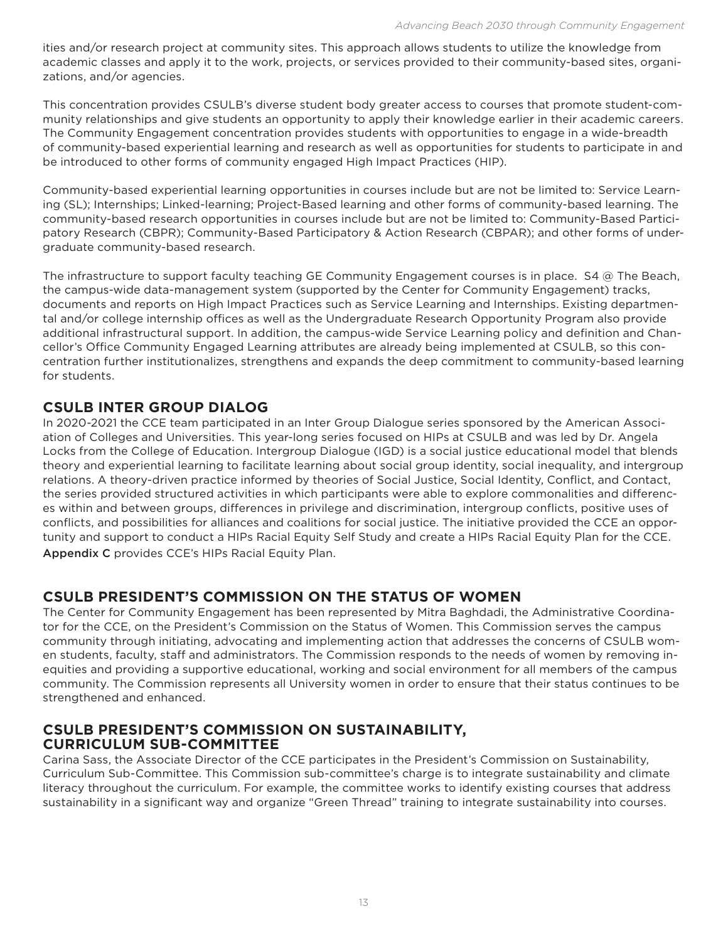ities and/or research project at community sites. This approach allows students to utilize the knowledge from academic classes and apply it to the work, projects, or services provided to their community-based sites, organizations, and/or agencies.

This concentration provides CSULB's diverse student body greater access to courses that promote student-community relationships and give students an opportunity to apply their knowledge earlier in their academic careers. The Community Engagement concentration provides students with opportunities to engage in a wide-breadth of community-based experiential learning and research as well as opportunities for students to participate in and be introduced to other forms of community engaged High Impact Practices (HIP).

Community-based experiential learning opportunities in courses include but are not be limited to: Service Learning (SL); Internships; Linked-learning; Project-Based learning and other forms of community-based learning. The community-based research opportunities in courses include but are not be limited to: Community-Based Participatory Research (CBPR); Community-Based Participatory & Action Research (CBPAR); and other forms of undergraduate community-based research.

The infrastructure to support faculty teaching GE Community Engagement courses is in place. S4 @ The Beach, the campus-wide data-management system (supported by the Center for Community Engagement) tracks, documents and reports on High Impact Practices such as Service Learning and Internships. Existing departmental and/or college internship offices as well as the Undergraduate Research Opportunity Program also provide additional infrastructural support. In addition, the campus-wide Service Learning policy and definition and Chancellor's Office Community Engaged Learning attributes are already being implemented at CSULB, so this concentration further institutionalizes, strengthens and expands the deep commitment to community-based learning for students.

## **CSULB INTER GROUP DIALOG**

In 2020-2021 the CCE team participated in an Inter Group Dialogue series sponsored by the American Association of Colleges and Universities. This year-long series focused on HIPs at CSULB and was led by Dr. Angela Locks from the College of Education. Intergroup Dialogue (IGD) is a social justice educational model that blends theory and experiential learning to facilitate learning about social group identity, social inequality, and intergroup relations. A theory-driven practice informed by theories of Social Justice, Social Identity, Conflict, and Contact, the series provided structured activities in which participants were able to explore commonalities and differences within and between groups, differences in privilege and discrimination, intergroup conflicts, positive uses of conflicts, and possibilities for alliances and coalitions for social justice. The initiative provided the CCE an opportunity and support to conduct a HIPs Racial Equity Self Study and create a HIPs Racial Equity Plan for the CCE. Appendix C provides CCE's HIPs Racial Equity Plan.

## **CSULB PRESIDENT'S COMMISSION ON THE STATUS OF WOMEN**

The Center for Community Engagement has been represented by Mitra Baghdadi, the Administrative Coordinator for the CCE, on the President's Commission on the Status of Women. This Commission serves the campus community through initiating, advocating and implementing action that addresses the concerns of CSULB women students, faculty, staff and administrators. The Commission responds to the needs of women by removing inequities and providing a supportive educational, working and social environment for all members of the campus community. The Commission represents all University women in order to ensure that their status continues to be strengthened and enhanced.

#### **CSULB PRESIDENT'S COMMISSION ON SUSTAINABILITY, CURRICULUM SUB-COMMITTEE**

Carina Sass, the Associate Director of the CCE participates in the President's Commission on Sustainability, Curriculum Sub-Committee. This Commission sub-committee's charge is to integrate sustainability and climate literacy throughout the curriculum. For example, the committee works to identify existing courses that address sustainability in a significant way and organize "Green Thread" training to integrate sustainability into courses.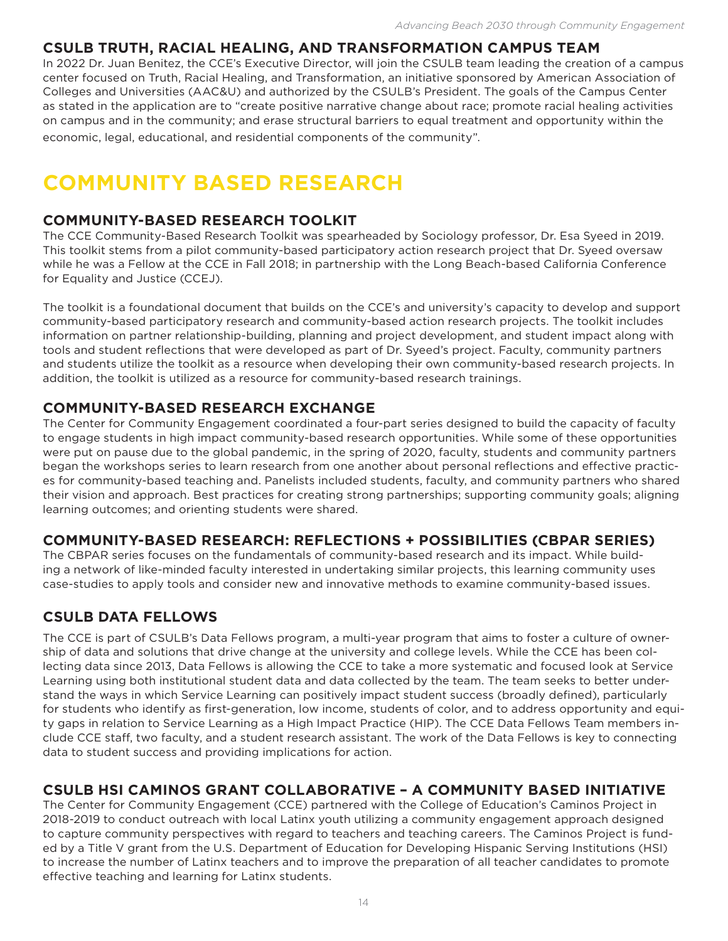## **CSULB TRUTH, RACIAL HEALING, AND TRANSFORMATION CAMPUS TEAM**

In 2022 Dr. Juan Benitez, the CCE's Executive Director, will join the CSULB team leading the creation of a campus center focused on Truth, Racial Healing, and Transformation, an initiative sponsored by American Association of Colleges and Universities (AAC&U) and authorized by the CSULB's President. The goals of the Campus Center as stated in the application are to "create positive narrative change about race; promote racial healing activities on campus and in the community; and erase structural barriers to equal treatment and opportunity within the economic, legal, educational, and residential components of the community".

# **COMMUNITY BASED RESEARCH**

## **COMMUNITY-BASED RESEARCH TOOLKIT**

The CCE Community-Based Research Toolkit was spearheaded by Sociology professor, Dr. Esa Syeed in 2019. This toolkit stems from a pilot community-based participatory action research project that Dr. Syeed oversaw while he was a Fellow at the CCE in Fall 2018; in partnership with the Long Beach-based California Conference for Equality and Justice (CCEJ).

The toolkit is a foundational document that builds on the CCE's and university's capacity to develop and support community-based participatory research and community-based action research projects. The toolkit includes information on partner relationship-building, planning and project development, and student impact along with tools and student reflections that were developed as part of Dr. Syeed's project. Faculty, community partners and students utilize the toolkit as a resource when developing their own community-based research projects. In addition, the toolkit is utilized as a resource for community-based research trainings.

## **COMMUNITY-BASED RESEARCH EXCHANGE**

The Center for Community Engagement coordinated a four-part series designed to build the capacity of faculty to engage students in high impact community-based research opportunities. While some of these opportunities were put on pause due to the global pandemic, in the spring of 2020, faculty, students and community partners began the workshops series to learn research from one another about personal reflections and effective practices for community-based teaching and. Panelists included students, faculty, and community partners who shared their vision and approach. Best practices for creating strong partnerships; supporting community goals; aligning learning outcomes; and orienting students were shared.

## **COMMUNITY-BASED RESEARCH: REFLECTIONS + POSSIBILITIES (CBPAR SERIES)**

The CBPAR series focuses on the fundamentals of community-based research and its impact. While building a network of like-minded faculty interested in undertaking similar projects, this learning community uses case-studies to apply tools and consider new and innovative methods to examine community-based issues.

## **CSULB DATA FELLOWS**

The CCE is part of CSULB's Data Fellows program, a multi-year program that aims to foster a culture of ownership of data and solutions that drive change at the university and college levels. While the CCE has been collecting data since 2013, Data Fellows is allowing the CCE to take a more systematic and focused look at Service Learning using both institutional student data and data collected by the team. The team seeks to better understand the ways in which Service Learning can positively impact student success (broadly defined), particularly for students who identify as first-generation, low income, students of color, and to address opportunity and equity gaps in relation to Service Learning as a High Impact Practice (HIP). The CCE Data Fellows Team members include CCE staff, two faculty, and a student research assistant. The work of the Data Fellows is key to connecting data to student success and providing implications for action.

## **CSULB HSI CAMINOS GRANT COLLABORATIVE – A COMMUNITY BASED INITIATIVE**

The Center for Community Engagement (CCE) partnered with the College of Education's Caminos Project in 2018-2019 to conduct outreach with local Latinx youth utilizing a community engagement approach designed to capture community perspectives with regard to teachers and teaching careers. The Caminos Project is funded by a Title V grant from the U.S. Department of Education for Developing Hispanic Serving Institutions (HSI) to increase the number of Latinx teachers and to improve the preparation of all teacher candidates to promote effective teaching and learning for Latinx students.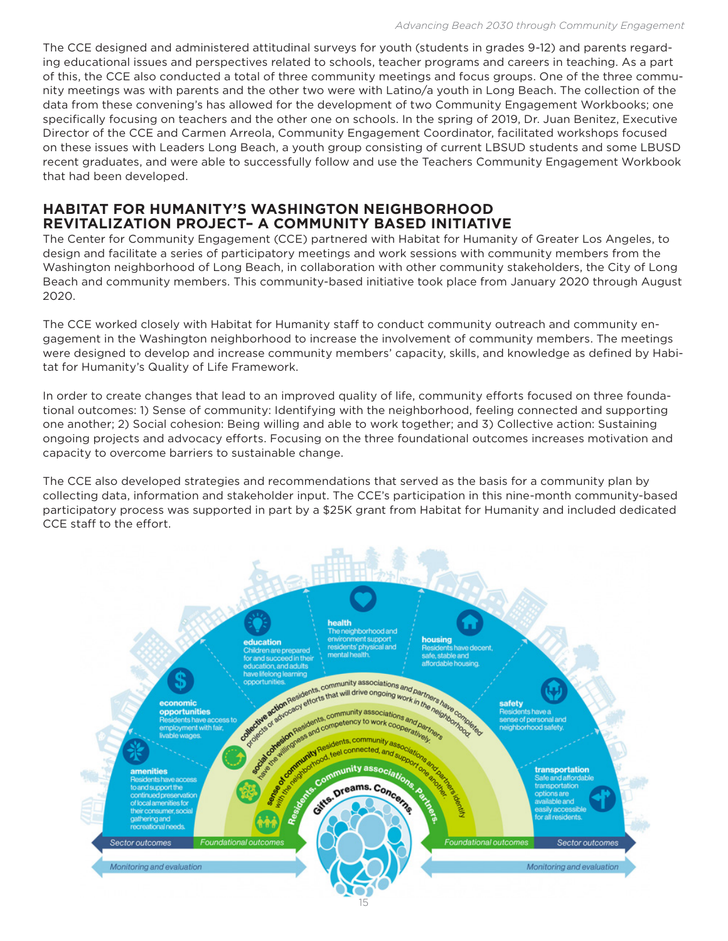The CCE designed and administered attitudinal surveys for youth (students in grades 9-12) and parents regarding educational issues and perspectives related to schools, teacher programs and careers in teaching. As a part of this, the CCE also conducted a total of three community meetings and focus groups. One of the three community meetings was with parents and the other two were with Latino/a youth in Long Beach. The collection of the data from these convening's has allowed for the development of two Community Engagement Workbooks; one specifically focusing on teachers and the other one on schools. In the spring of 2019, Dr. Juan Benitez, Executive Director of the CCE and Carmen Arreola, Community Engagement Coordinator, facilitated workshops focused on these issues with Leaders Long Beach, a youth group consisting of current LBSUD students and some LBUSD recent graduates, and were able to successfully follow and use the Teachers Community Engagement Workbook that had been developed.

## **HABITAT FOR HUMANITY'S WASHINGTON NEIGHBORHOOD REVITALIZATION PROJECT– A COMMUNITY BASED INITIATIVE**

The Center for Community Engagement (CCE) partnered with Habitat for Humanity of Greater Los Angeles, to design and facilitate a series of participatory meetings and work sessions with community members from the Washington neighborhood of Long Beach, in collaboration with other community stakeholders, the City of Long Beach and community members. This community-based initiative took place from January 2020 through August 2020.

The CCE worked closely with Habitat for Humanity staff to conduct community outreach and community engagement in the Washington neighborhood to increase the involvement of community members. The meetings were designed to develop and increase community members' capacity, skills, and knowledge as defined by Habitat for Humanity's Quality of Life Framework.

In order to create changes that lead to an improved quality of life, community efforts focused on three foundational outcomes: 1) Sense of community: Identifying with the neighborhood, feeling connected and supporting one another; 2) Social cohesion: Being willing and able to work together; and 3) Collective action: Sustaining ongoing projects and advocacy efforts. Focusing on the three foundational outcomes increases motivation and capacity to overcome barriers to sustainable change.

The CCE also developed strategies and recommendations that served as the basis for a community plan by collecting data, information and stakeholder input. The CCE's participation in this nine-month community-based participatory process was supported in part by a \$25K grant from Habitat for Humanity and included dedicated CCE staff to the effort.

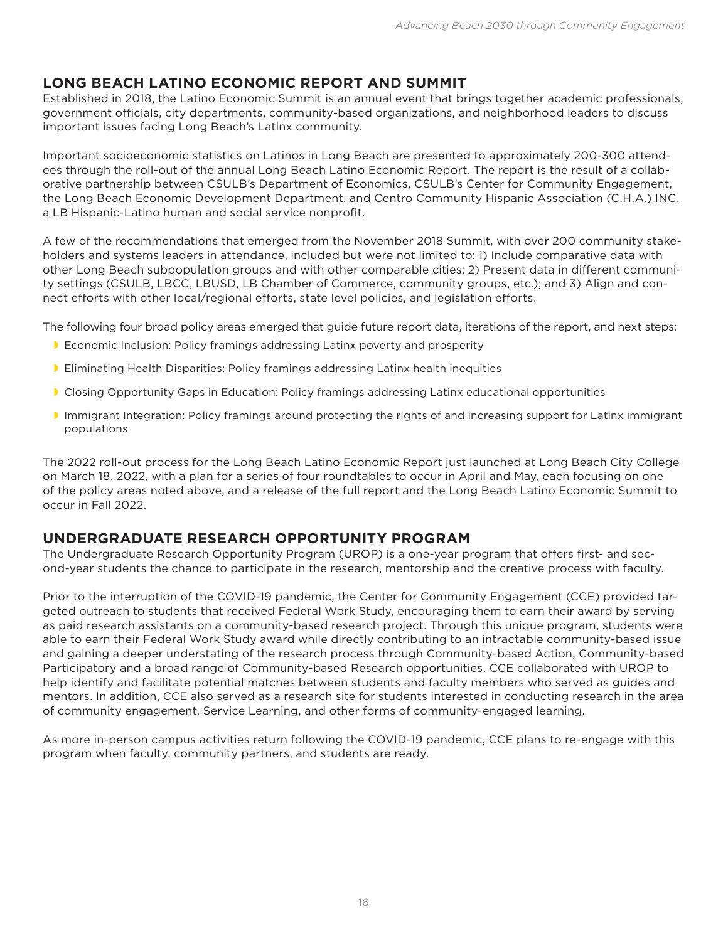## **LONG BEACH LATINO ECONOMIC REPORT AND SUMMIT**

Established in 2018, the Latino Economic Summit is an annual event that brings together academic professionals, government officials, city departments, community-based organizations, and neighborhood leaders to discuss important issues facing Long Beach's Latinx community.

Important socioeconomic statistics on Latinos in Long Beach are presented to approximately 200-300 attendees through the roll-out of the annual Long Beach Latino Economic Report. The report is the result of a collaborative partnership between CSULB's Department of Economics, CSULB's Center for Community Engagement, the Long Beach Economic Development Department, and Centro Community Hispanic Association (C.H.A.) INC. a LB Hispanic-Latino human and social service nonprofit.

A few of the recommendations that emerged from the November 2018 Summit, with over 200 community stakeholders and systems leaders in attendance, included but were not limited to: 1) Include comparative data with other Long Beach subpopulation groups and with other comparable cities; 2) Present data in different community settings (CSULB, LBCC, LBUSD, LB Chamber of Commerce, community groups, etc.); and 3) Align and connect efforts with other local/regional efforts, state level policies, and legislation efforts.

The following four broad policy areas emerged that guide future report data, iterations of the report, and next steps:

- Economic Inclusion: Policy framings addressing Latinx poverty and prosperity
- **Eliminating Health Disparities: Policy framings addressing Latinx health inequities**
- Closing Opportunity Gaps in Education: Policy framings addressing Latinx educational opportunities
- Immigrant Integration: Policy framings around protecting the rights of and increasing support for Latinx immigrant populations

The 2022 roll-out process for the Long Beach Latino Economic Report just launched at Long Beach City College on March 18, 2022, with a plan for a series of four roundtables to occur in April and May, each focusing on one of the policy areas noted above, and a release of the full report and the Long Beach Latino Economic Summit to occur in Fall 2022.

## **UNDERGRADUATE RESEARCH OPPORTUNITY PROGRAM**

The Undergraduate Research Opportunity Program (UROP) is a one-year program that offers first- and second-year students the chance to participate in the research, mentorship and the creative process with faculty.

Prior to the interruption of the COVID-19 pandemic, the Center for Community Engagement (CCE) provided targeted outreach to students that received Federal Work Study, encouraging them to earn their award by serving as paid research assistants on a community-based research project. Through this unique program, students were able to earn their Federal Work Study award while directly contributing to an intractable community-based issue and gaining a deeper understating of the research process through Community-based Action, Community-based Participatory and a broad range of Community-based Research opportunities. CCE collaborated with UROP to help identify and facilitate potential matches between students and faculty members who served as guides and mentors. In addition, CCE also served as a research site for students interested in conducting research in the area of community engagement, Service Learning, and other forms of community-engaged learning.

As more in-person campus activities return following the COVID-19 pandemic, CCE plans to re-engage with this program when faculty, community partners, and students are ready.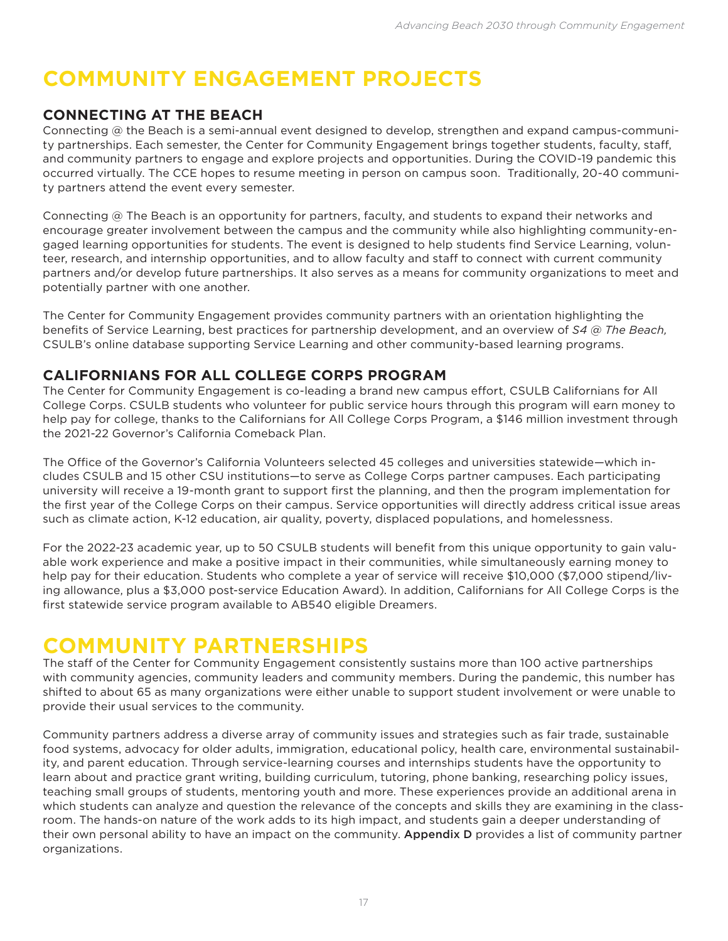# **COMMUNITY ENGAGEMENT PROJECTS**

## **CONNECTING AT THE BEACH**

Connecting @ the Beach is a semi-annual event designed to develop, strengthen and expand campus-community partnerships. Each semester, the Center for Community Engagement brings together students, faculty, staff, and community partners to engage and explore projects and opportunities. During the COVID-19 pandemic this occurred virtually. The CCE hopes to resume meeting in person on campus soon. Traditionally, 20-40 community partners attend the event every semester.

Connecting @ The Beach is an opportunity for partners, faculty, and students to expand their networks and encourage greater involvement between the campus and the community while also highlighting community-engaged learning opportunities for students. The event is designed to help students find Service Learning, volunteer, research, and internship opportunities, and to allow faculty and staff to connect with current community partners and/or develop future partnerships. It also serves as a means for community organizations to meet and potentially partner with one another.

The Center for Community Engagement provides community partners with an orientation highlighting the benefits of Service Learning, best practices for partnership development, and an overview of *S4 @ The Beach,* CSULB's online database supporting Service Learning and other community-based learning programs.

## **CALIFORNIANS FOR ALL COLLEGE CORPS PROGRAM**

The Center for Community Engagement is co-leading a brand new campus effort, CSULB Californians for All College Corps. CSULB students who volunteer for public service hours through this program will earn money to help pay for college, thanks to the Californians for All College Corps Program, a \$146 million investment through the 2021-22 Governor's California Comeback Plan.

The Office of the Governor's California Volunteers selected 45 colleges and universities statewide—which includes CSULB and 15 other CSU institutions—to serve as College Corps partner campuses. Each participating university will receive a 19-month grant to support first the planning, and then the program implementation for the first year of the College Corps on their campus. Service opportunities will directly address critical issue areas such as climate action, K-12 education, air quality, poverty, displaced populations, and homelessness.

For the 2022-23 academic year, up to 50 CSULB students will benefit from this unique opportunity to gain valuable work experience and make a positive impact in their communities, while simultaneously earning money to help pay for their education. Students who complete a year of service will receive \$10,000 (\$7,000 stipend/living allowance, plus a \$3,000 post-service Education Award). In addition, Californians for All College Corps is the first statewide service program available to AB540 eligible Dreamers.

## **COMMUNITY PARTNERSHIPS**

The staff of the Center for Community Engagement consistently sustains more than 100 active partnerships with community agencies, community leaders and community members. During the pandemic, this number has shifted to about 65 as many organizations were either unable to support student involvement or were unable to provide their usual services to the community.

Community partners address a diverse array of community issues and strategies such as fair trade, sustainable food systems, advocacy for older adults, immigration, educational policy, health care, environmental sustainability, and parent education. Through service-learning courses and internships students have the opportunity to learn about and practice grant writing, building curriculum, tutoring, phone banking, researching policy issues, teaching small groups of students, mentoring youth and more. These experiences provide an additional arena in which students can analyze and question the relevance of the concepts and skills they are examining in the classroom. The hands-on nature of the work adds to its high impact, and students gain a deeper understanding of their own personal ability to have an impact on the community. Appendix D provides a list of community partner organizations.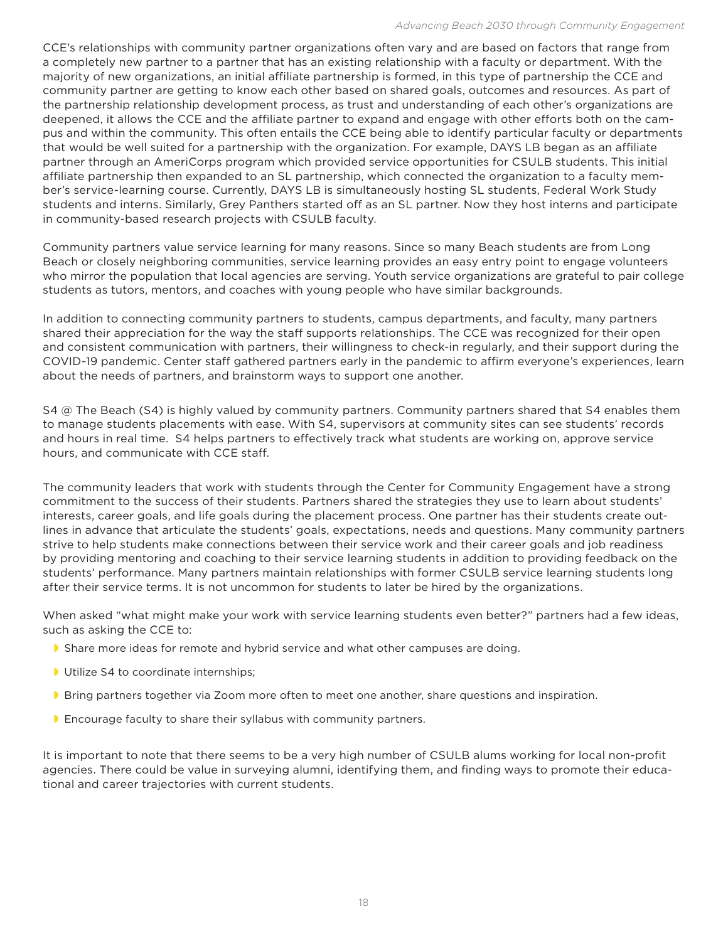CCE's relationships with community partner organizations often vary and are based on factors that range from a completely new partner to a partner that has an existing relationship with a faculty or department. With the majority of new organizations, an initial affiliate partnership is formed, in this type of partnership the CCE and community partner are getting to know each other based on shared goals, outcomes and resources. As part of the partnership relationship development process, as trust and understanding of each other's organizations are deepened, it allows the CCE and the affiliate partner to expand and engage with other efforts both on the campus and within the community. This often entails the CCE being able to identify particular faculty or departments that would be well suited for a partnership with the organization. For example, DAYS LB began as an affiliate partner through an AmeriCorps program which provided service opportunities for CSULB students. This initial affiliate partnership then expanded to an SL partnership, which connected the organization to a faculty member's service-learning course. Currently, DAYS LB is simultaneously hosting SL students, Federal Work Study students and interns. Similarly, Grey Panthers started off as an SL partner. Now they host interns and participate in community-based research projects with CSULB faculty.

Community partners value service learning for many reasons. Since so many Beach students are from Long Beach or closely neighboring communities, service learning provides an easy entry point to engage volunteers who mirror the population that local agencies are serving. Youth service organizations are grateful to pair college students as tutors, mentors, and coaches with young people who have similar backgrounds.

In addition to connecting community partners to students, campus departments, and faculty, many partners shared their appreciation for the way the staff supports relationships. The CCE was recognized for their open and consistent communication with partners, their willingness to check-in regularly, and their support during the COVID-19 pandemic. Center staff gathered partners early in the pandemic to affirm everyone's experiences, learn about the needs of partners, and brainstorm ways to support one another.

S4 @ The Beach (S4) is highly valued by community partners. Community partners shared that S4 enables them to manage students placements with ease. With S4, supervisors at community sites can see students' records and hours in real time. S4 helps partners to effectively track what students are working on, approve service hours, and communicate with CCE staff.

The community leaders that work with students through the Center for Community Engagement have a strong commitment to the success of their students. Partners shared the strategies they use to learn about students' interests, career goals, and life goals during the placement process. One partner has their students create outlines in advance that articulate the students' goals, expectations, needs and questions. Many community partners strive to help students make connections between their service work and their career goals and job readiness by providing mentoring and coaching to their service learning students in addition to providing feedback on the students' performance. Many partners maintain relationships with former CSULB service learning students long after their service terms. It is not uncommon for students to later be hired by the organizations.

When asked "what might make your work with service learning students even better?" partners had a few ideas, such as asking the CCE to:

- Share more ideas for remote and hybrid service and what other campuses are doing.
- **Utilize S4 to coordinate internships;**
- **Bring partners together via Zoom more often to meet one another, share questions and inspiration.**
- **Encourage faculty to share their syllabus with community partners.**

It is important to note that there seems to be a very high number of CSULB alums working for local non-profit agencies. There could be value in surveying alumni, identifying them, and finding ways to promote their educational and career trajectories with current students.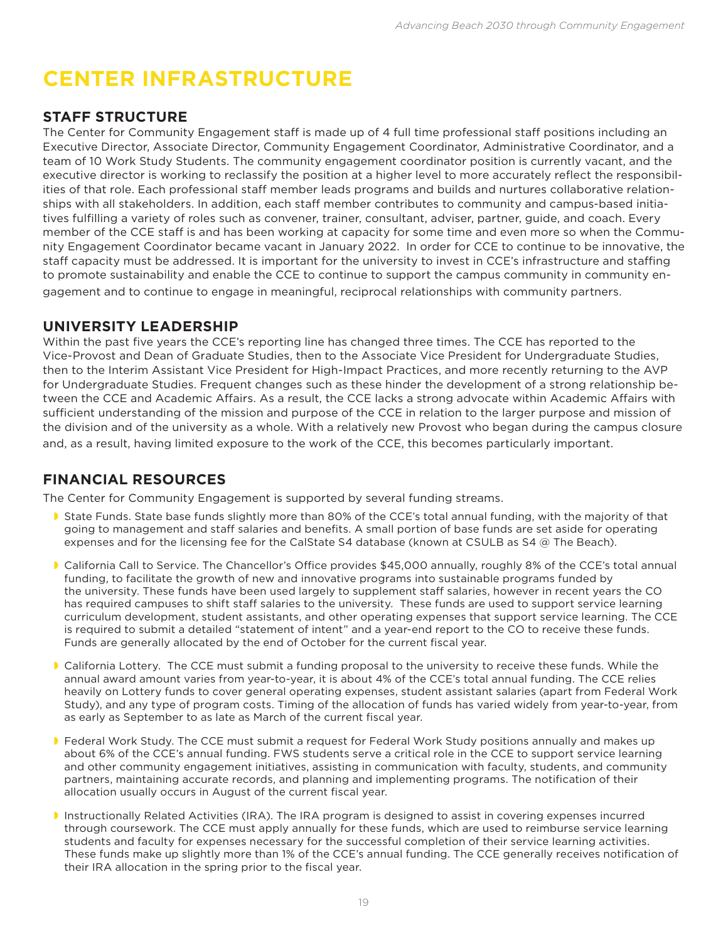# **CENTER INFRASTRUCTURE**

## **STAFF STRUCTURE**

The Center for Community Engagement staff is made up of 4 full time professional staff positions including an Executive Director, Associate Director, Community Engagement Coordinator, Administrative Coordinator, and a team of 10 Work Study Students. The community engagement coordinator position is currently vacant, and the executive director is working to reclassify the position at a higher level to more accurately reflect the responsibilities of that role. Each professional staff member leads programs and builds and nurtures collaborative relationships with all stakeholders. In addition, each staff member contributes to community and campus-based initiatives fulfilling a variety of roles such as convener, trainer, consultant, adviser, partner, guide, and coach. Every member of the CCE staff is and has been working at capacity for some time and even more so when the Community Engagement Coordinator became vacant in January 2022. In order for CCE to continue to be innovative, the staff capacity must be addressed. It is important for the university to invest in CCE's infrastructure and staffing to promote sustainability and enable the CCE to continue to support the campus community in community engagement and to continue to engage in meaningful, reciprocal relationships with community partners.

## **UNIVERSITY LEADERSHIP**

Within the past five years the CCE's reporting line has changed three times. The CCE has reported to the Vice-Provost and Dean of Graduate Studies, then to the Associate Vice President for Undergraduate Studies, then to the Interim Assistant Vice President for High-Impact Practices, and more recently returning to the AVP for Undergraduate Studies. Frequent changes such as these hinder the development of a strong relationship between the CCE and Academic Affairs. As a result, the CCE lacks a strong advocate within Academic Affairs with sufficient understanding of the mission and purpose of the CCE in relation to the larger purpose and mission of the division and of the university as a whole. With a relatively new Provost who began during the campus closure and, as a result, having limited exposure to the work of the CCE, this becomes particularly important.

## **FINANCIAL RESOURCES**

The Center for Community Engagement is supported by several funding streams.

- State Funds. State base funds slightly more than 80% of the CCE's total annual funding, with the majority of that going to management and staff salaries and benefits. A small portion of base funds are set aside for operating expenses and for the licensing fee for the CalState S4 database (known at CSULB as S4 @ The Beach).
- California Call to Service. The Chancellor's Office provides \$45,000 annually, roughly 8% of the CCE's total annual funding, to facilitate the growth of new and innovative programs into sustainable programs funded by the university. These funds have been used largely to supplement staff salaries, however in recent years the CO has required campuses to shift staff salaries to the university. These funds are used to support service learning curriculum development, student assistants, and other operating expenses that support service learning. The CCE is required to submit a detailed "statement of intent" and a year-end report to the CO to receive these funds. Funds are generally allocated by the end of October for the current fiscal year.
- California Lottery. The CCE must submit a funding proposal to the university to receive these funds. While the annual award amount varies from year-to-year, it is about 4% of the CCE's total annual funding. The CCE relies heavily on Lottery funds to cover general operating expenses, student assistant salaries (apart from Federal Work Study), and any type of program costs. Timing of the allocation of funds has varied widely from year-to-year, from as early as September to as late as March of the current fiscal year.
- Federal Work Study. The CCE must submit a request for Federal Work Study positions annually and makes up about 6% of the CCE's annual funding. FWS students serve a critical role in the CCE to support service learning and other community engagement initiatives, assisting in communication with faculty, students, and community partners, maintaining accurate records, and planning and implementing programs. The notification of their allocation usually occurs in August of the current fiscal year.
- Instructionally Related Activities (IRA). The IRA program is designed to assist in covering expenses incurred through coursework. The CCE must apply annually for these funds, which are used to reimburse service learning students and faculty for expenses necessary for the successful completion of their service learning activities. These funds make up slightly more than 1% of the CCE's annual funding. The CCE generally receives notification of their IRA allocation in the spring prior to the fiscal year.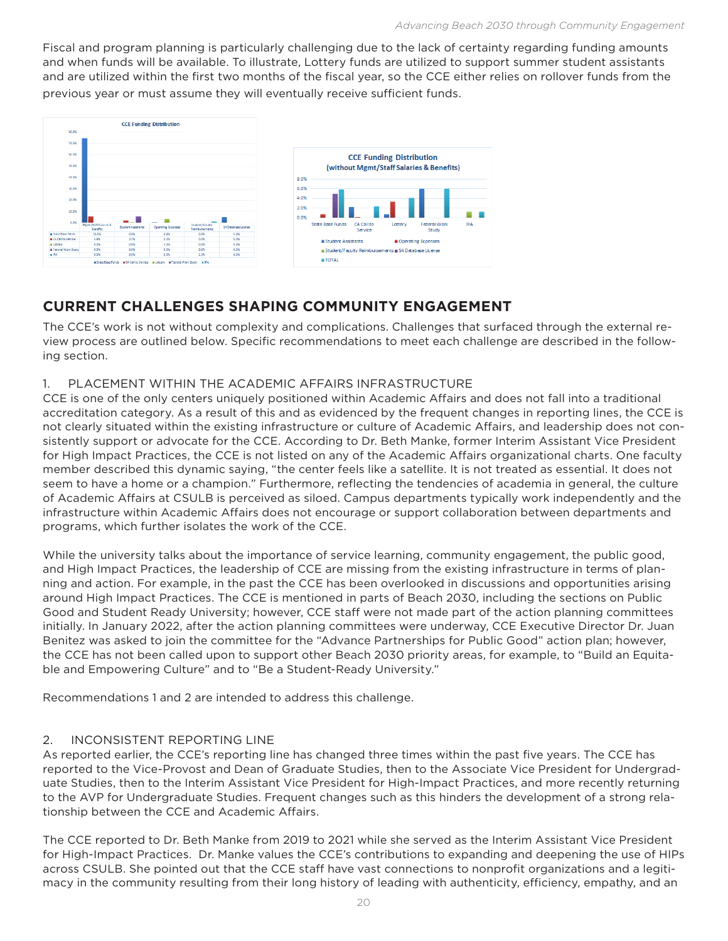Fiscal and program planning is particularly challenging due to the lack of certainty regarding funding amounts and when funds will be available. To illustrate, Lottery funds are utilized to support summer student assistants and are utilized within the first two months of the fiscal year, so the CCE either relies on rollover funds from the previous year or must assume they will eventually receive sufficient funds.



## **CURRENT CHALLENGES SHAPING COMMUNITY ENGAGEMENT**

The CCE's work is not without complexity and complications. Challenges that surfaced through the external review process are outlined below. Specific recommendations to meet each challenge are described in the following section.

#### 1. PLACEMENT WITHIN THE ACADEMIC AFFAIRS INFRASTRUCTURE

CCE is one of the only centers uniquely positioned within Academic Affairs and does not fall into a traditional accreditation category. As a result of this and as evidenced by the frequent changes in reporting lines, the CCE is not clearly situated within the existing infrastructure or culture of Academic Affairs, and leadership does not consistently support or advocate for the CCE. According to Dr. Beth Manke, former Interim Assistant Vice President for High Impact Practices, the CCE is not listed on any of the Academic Affairs organizational charts. One faculty member described this dynamic saying, "the center feels like a satellite. It is not treated as essential. It does not seem to have a home or a champion." Furthermore, reflecting the tendencies of academia in general, the culture of Academic Affairs at CSULB is perceived as siloed. Campus departments typically work independently and the infrastructure within Academic Affairs does not encourage or support collaboration between departments and programs, which further isolates the work of the CCE.

While the university talks about the importance of service learning, community engagement, the public good, and High Impact Practices, the leadership of CCE are missing from the existing infrastructure in terms of planning and action. For example, in the past the CCE has been overlooked in discussions and opportunities arising around High Impact Practices. The CCE is mentioned in parts of Beach 2030, including the sections on Public Good and Student Ready University; however, CCE staff were not made part of the action planning committees initially. In January 2022, after the action planning committees were underway, CCE Executive Director Dr. Juan Benitez was asked to join the committee for the "Advance Partnerships for Public Good" action plan; however, the CCE has not been called upon to support other Beach 2030 priority areas, for example, to "Build an Equitable and Empowering Culture" and to "Be a Student-Ready University."

Recommendations 1 and 2 are intended to address this challenge.

#### 2. INCONSISTENT REPORTING LINE

As reported earlier, the CCE's reporting line has changed three times within the past five years. The CCE has reported to the Vice-Provost and Dean of Graduate Studies, then to the Associate Vice President for Undergraduate Studies, then to the Interim Assistant Vice President for High-Impact Practices, and more recently returning to the AVP for Undergraduate Studies. Frequent changes such as this hinders the development of a strong relationship between the CCE and Academic Affairs.

The CCE reported to Dr. Beth Manke from 2019 to 2021 while she served as the Interim Assistant Vice President for High-Impact Practices. Dr. Manke values the CCE's contributions to expanding and deepening the use of HIPs across CSULB. She pointed out that the CCE staff have vast connections to nonprofit organizations and a legitimacy in the community resulting from their long history of leading with authenticity, efficiency, empathy, and an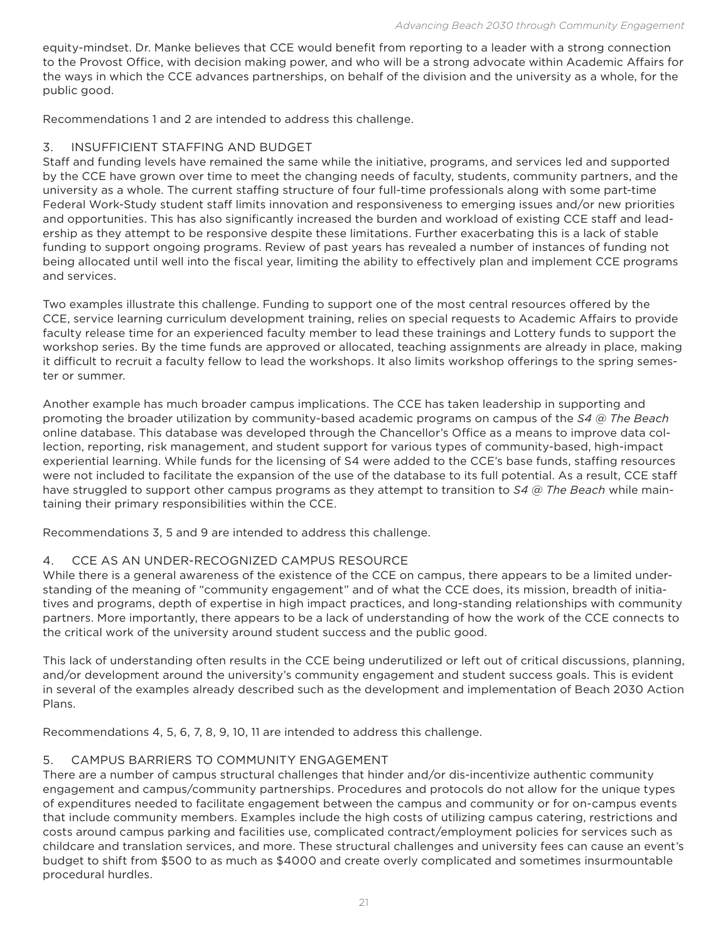equity-mindset. Dr. Manke believes that CCE would benefit from reporting to a leader with a strong connection to the Provost Office, with decision making power, and who will be a strong advocate within Academic Affairs for the ways in which the CCE advances partnerships, on behalf of the division and the university as a whole, for the public good.

Recommendations 1 and 2 are intended to address this challenge.

#### 3. INSUFFICIENT STAFFING AND BUDGET

Staff and funding levels have remained the same while the initiative, programs, and services led and supported by the CCE have grown over time to meet the changing needs of faculty, students, community partners, and the university as a whole. The current staffing structure of four full-time professionals along with some part-time Federal Work-Study student staff limits innovation and responsiveness to emerging issues and/or new priorities and opportunities. This has also significantly increased the burden and workload of existing CCE staff and leadership as they attempt to be responsive despite these limitations. Further exacerbating this is a lack of stable funding to support ongoing programs. Review of past years has revealed a number of instances of funding not being allocated until well into the fiscal year, limiting the ability to effectively plan and implement CCE programs and services.

Two examples illustrate this challenge. Funding to support one of the most central resources offered by the CCE, service learning curriculum development training, relies on special requests to Academic Affairs to provide faculty release time for an experienced faculty member to lead these trainings and Lottery funds to support the workshop series. By the time funds are approved or allocated, teaching assignments are already in place, making it difficult to recruit a faculty fellow to lead the workshops. It also limits workshop offerings to the spring semester or summer.

Another example has much broader campus implications. The CCE has taken leadership in supporting and promoting the broader utilization by community-based academic programs on campus of the *S4 @ The Beach* online database. This database was developed through the Chancellor's Office as a means to improve data collection, reporting, risk management, and student support for various types of community-based, high-impact experiential learning. While funds for the licensing of S4 were added to the CCE's base funds, staffing resources were not included to facilitate the expansion of the use of the database to its full potential. As a result, CCE staff have struggled to support other campus programs as they attempt to transition to *S4 @ The Beach* while maintaining their primary responsibilities within the CCE.

Recommendations 3, 5 and 9 are intended to address this challenge.

#### 4. CCE AS AN UNDER-RECOGNIZED CAMPUS RESOURCE

While there is a general awareness of the existence of the CCE on campus, there appears to be a limited understanding of the meaning of "community engagement" and of what the CCE does, its mission, breadth of initiatives and programs, depth of expertise in high impact practices, and long-standing relationships with community partners. More importantly, there appears to be a lack of understanding of how the work of the CCE connects to the critical work of the university around student success and the public good.

This lack of understanding often results in the CCE being underutilized or left out of critical discussions, planning, and/or development around the university's community engagement and student success goals. This is evident in several of the examples already described such as the development and implementation of Beach 2030 Action Plans.

Recommendations 4, 5, 6, 7, 8, 9, 10, 11 are intended to address this challenge.

#### 5. CAMPUS BARRIERS TO COMMUNITY ENGAGEMENT

There are a number of campus structural challenges that hinder and/or dis-incentivize authentic community engagement and campus/community partnerships. Procedures and protocols do not allow for the unique types of expenditures needed to facilitate engagement between the campus and community or for on-campus events that include community members. Examples include the high costs of utilizing campus catering, restrictions and costs around campus parking and facilities use, complicated contract/employment policies for services such as childcare and translation services, and more. These structural challenges and university fees can cause an event's budget to shift from \$500 to as much as \$4000 and create overly complicated and sometimes insurmountable procedural hurdles.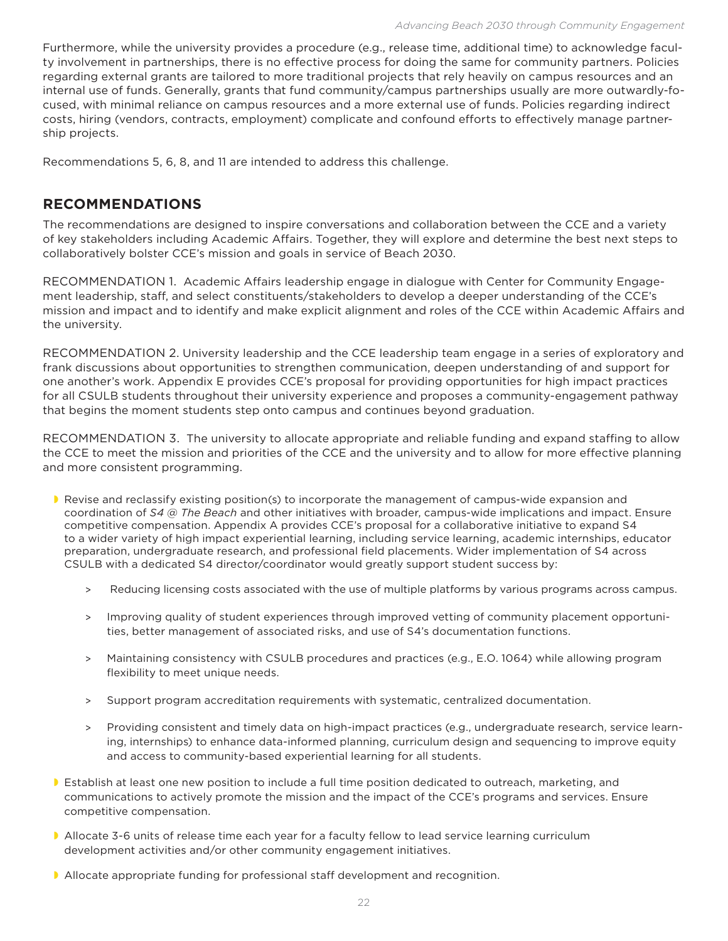Furthermore, while the university provides a procedure (e.g., release time, additional time) to acknowledge faculty involvement in partnerships, there is no effective process for doing the same for community partners. Policies regarding external grants are tailored to more traditional projects that rely heavily on campus resources and an internal use of funds. Generally, grants that fund community/campus partnerships usually are more outwardly-focused, with minimal reliance on campus resources and a more external use of funds. Policies regarding indirect costs, hiring (vendors, contracts, employment) complicate and confound efforts to effectively manage partnership projects.

Recommendations 5, 6, 8, and 11 are intended to address this challenge.

## **RECOMMENDATIONS**

The recommendations are designed to inspire conversations and collaboration between the CCE and a variety of key stakeholders including Academic Affairs. Together, they will explore and determine the best next steps to collaboratively bolster CCE's mission and goals in service of Beach 2030.

RECOMMENDATION 1. Academic Affairs leadership engage in dialogue with Center for Community Engagement leadership, staff, and select constituents/stakeholders to develop a deeper understanding of the CCE's mission and impact and to identify and make explicit alignment and roles of the CCE within Academic Affairs and the university.

RECOMMENDATION 2. University leadership and the CCE leadership team engage in a series of exploratory and frank discussions about opportunities to strengthen communication, deepen understanding of and support for one another's work. Appendix E provides CCE's proposal for providing opportunities for high impact practices for all CSULB students throughout their university experience and proposes a community-engagement pathway that begins the moment students step onto campus and continues beyond graduation.

RECOMMENDATION 3. The university to allocate appropriate and reliable funding and expand staffing to allow the CCE to meet the mission and priorities of the CCE and the university and to allow for more effective planning and more consistent programming.

- **P** Revise and reclassify existing position(s) to incorporate the management of campus-wide expansion and coordination of *S4 @ The Beach* and other initiatives with broader, campus-wide implications and impact. Ensure competitive compensation. Appendix A provides CCE's proposal for a collaborative initiative to expand S4 to a wider variety of high impact experiential learning, including service learning, academic internships, educator preparation, undergraduate research, and professional field placements. Wider implementation of S4 across CSULB with a dedicated S4 director/coordinator would greatly support student success by:
	- > Reducing licensing costs associated with the use of multiple platforms by various programs across campus.
	- > Improving quality of student experiences through improved vetting of community placement opportunities, better management of associated risks, and use of S4's documentation functions.
	- > Maintaining consistency with CSULB procedures and practices (e.g., E.O. 1064) while allowing program flexibility to meet unique needs.
	- > Support program accreditation requirements with systematic, centralized documentation.
	- > Providing consistent and timely data on high-impact practices (e.g., undergraduate research, service learning, internships) to enhance data-informed planning, curriculum design and sequencing to improve equity and access to community-based experiential learning for all students.
- **Establish at least one new position to include a full time position dedicated to outreach, marketing, and** communications to actively promote the mission and the impact of the CCE's programs and services. Ensure competitive compensation.
- **Allocate 3-6 units of release time each year for a faculty fellow to lead service learning curriculum** development activities and/or other community engagement initiatives.
- Allocate appropriate funding for professional staff development and recognition.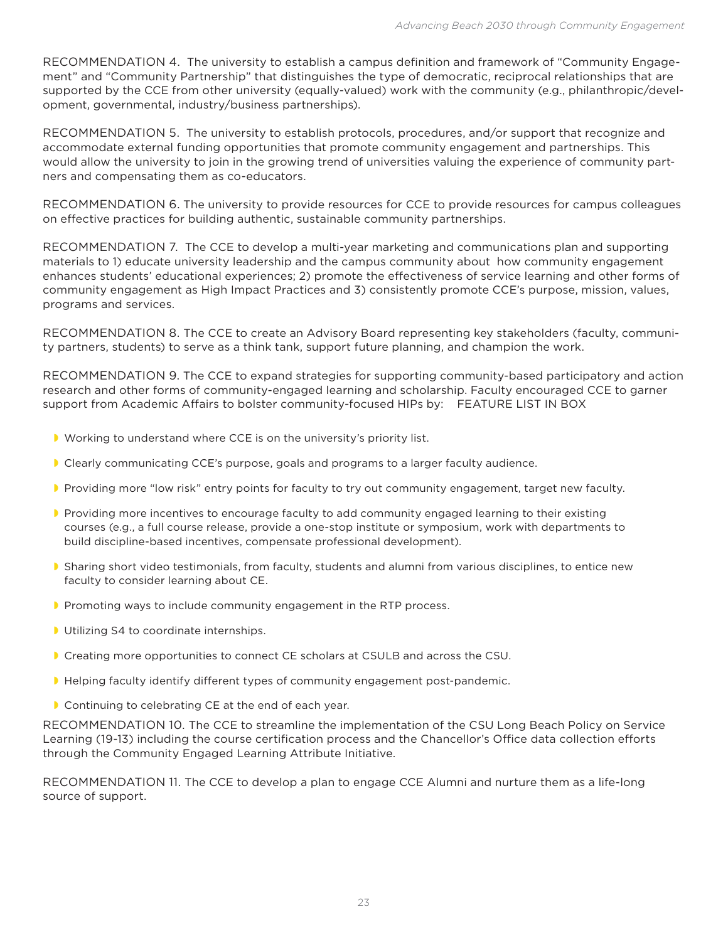RECOMMENDATION 4. The university to establish a campus definition and framework of "Community Engagement" and "Community Partnership" that distinguishes the type of democratic, reciprocal relationships that are supported by the CCE from other university (equally-valued) work with the community (e.g., philanthropic/development, governmental, industry/business partnerships).

RECOMMENDATION 5. The university to establish protocols, procedures, and/or support that recognize and accommodate external funding opportunities that promote community engagement and partnerships. This would allow the university to join in the growing trend of universities valuing the experience of community partners and compensating them as co-educators.

RECOMMENDATION 6. The university to provide resources for CCE to provide resources for campus colleagues on effective practices for building authentic, sustainable community partnerships.

RECOMMENDATION 7. The CCE to develop a multi-year marketing and communications plan and supporting materials to 1) educate university leadership and the campus community about how community engagement enhances students' educational experiences; 2) promote the effectiveness of service learning and other forms of community engagement as High Impact Practices and 3) consistently promote CCE's purpose, mission, values, programs and services.

RECOMMENDATION 8. The CCE to create an Advisory Board representing key stakeholders (faculty, community partners, students) to serve as a think tank, support future planning, and champion the work.

RECOMMENDATION 9. The CCE to expand strategies for supporting community-based participatory and action research and other forms of community-engaged learning and scholarship. Faculty encouraged CCE to garner support from Academic Affairs to bolster community-focused HIPs by: FEATURE LIST IN BOX

- Working to understand where CCE is on the university's priority list.
- Clearly communicating CCE's purpose, goals and programs to a larger faculty audience.
- Providing more "low risk" entry points for faculty to try out community engagement, target new faculty.
- **Providing more incentives to encourage faculty to add community engaged learning to their existing** courses (e.g., a full course release, provide a one-stop institute or symposium, work with departments to build discipline-based incentives, compensate professional development).
- Sharing short video testimonials, from faculty, students and alumni from various disciplines, to entice new faculty to consider learning about CE.
- Promoting ways to include community engagement in the RTP process.
- **I** Utilizing S4 to coordinate internships.
- **Creating more opportunities to connect CE scholars at CSULB and across the CSU.**
- Helping faculty identify different types of community engagement post-pandemic.
- **Continuing to celebrating CE at the end of each year.**

RECOMMENDATION 10. The CCE to streamline the implementation of the CSU Long Beach Policy on Service Learning (19-13) including the course certification process and the Chancellor's Office data collection efforts through the Community Engaged Learning Attribute Initiative.

RECOMMENDATION 11. The CCE to develop a plan to engage CCE Alumni and nurture them as a life-long source of support.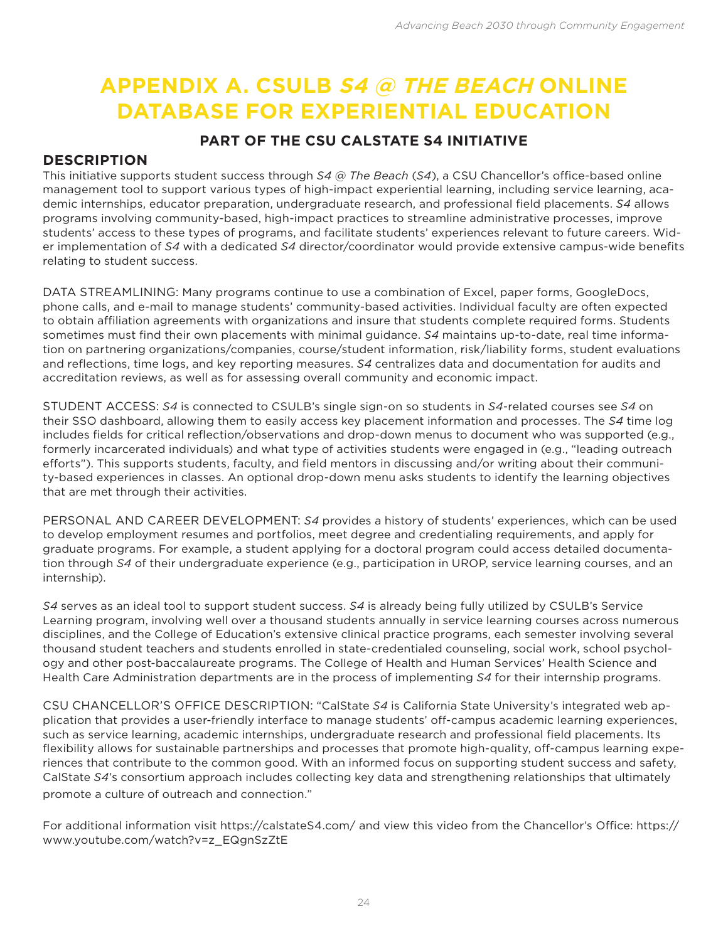# **APPENDIX A. CSULB S4 @ THE BEACH ONLINE DATABASE FOR EXPERIENTIAL EDUCATION**

## **PART OF THE CSU CALSTATE S4 INITIATIVE**

## **DESCRIPTION**

This initiative supports student success through *S4 @ The Beach* (*S4*), a CSU Chancellor's office-based online management tool to support various types of high-impact experiential learning, including service learning, academic internships, educator preparation, undergraduate research, and professional field placements. *S4* allows programs involving community-based, high-impact practices to streamline administrative processes, improve students' access to these types of programs, and facilitate students' experiences relevant to future careers. Wider implementation of *S4* with a dedicated *S4* director/coordinator would provide extensive campus-wide benefits relating to student success.

DATA STREAMLINING: Many programs continue to use a combination of Excel, paper forms, GoogleDocs, phone calls, and e-mail to manage students' community-based activities. Individual faculty are often expected to obtain affiliation agreements with organizations and insure that students complete required forms. Students sometimes must find their own placements with minimal guidance. *S4* maintains up-to-date, real time information on partnering organizations/companies, course/student information, risk/liability forms, student evaluations and reflections, time logs, and key reporting measures. *S4* centralizes data and documentation for audits and accreditation reviews, as well as for assessing overall community and economic impact.

STUDENT ACCESS: *S4* is connected to CSULB's single sign-on so students in *S4*-related courses see *S4* on their SSO dashboard, allowing them to easily access key placement information and processes. The *S4* time log includes fields for critical reflection/observations and drop-down menus to document who was supported (e.g., formerly incarcerated individuals) and what type of activities students were engaged in (e.g., "leading outreach efforts"). This supports students, faculty, and field mentors in discussing and/or writing about their community-based experiences in classes. An optional drop-down menu asks students to identify the learning objectives that are met through their activities.

PERSONAL AND CAREER DEVELOPMENT: *S4* provides a history of students' experiences, which can be used to develop employment resumes and portfolios, meet degree and credentialing requirements, and apply for graduate programs. For example, a student applying for a doctoral program could access detailed documentation through *S4* of their undergraduate experience (e.g., participation in UROP, service learning courses, and an internship).

*S4* serves as an ideal tool to support student success. *S4* is already being fully utilized by CSULB's Service Learning program, involving well over a thousand students annually in service learning courses across numerous disciplines, and the College of Education's extensive clinical practice programs, each semester involving several thousand student teachers and students enrolled in state-credentialed counseling, social work, school psychology and other post-baccalaureate programs. The College of Health and Human Services' Health Science and Health Care Administration departments are in the process of implementing *S4* for their internship programs.

CSU CHANCELLOR'S OFFICE DESCRIPTION: "CalState *S4* is California State University's integrated web application that provides a user-friendly interface to manage students' off-campus academic learning experiences, such as service learning, academic internships, undergraduate research and professional field placements. Its flexibility allows for sustainable partnerships and processes that promote high-quality, off-campus learning experiences that contribute to the common good. With an informed focus on supporting student success and safety, CalState *S4*'s consortium approach includes collecting key data and strengthening relationships that ultimately promote a culture of outreach and connection."

For additional information visit https://calstateS4.com/ and view this video from the Chancellor's Office: https:// www.youtube.com/watch?v=z\_EQgnSzZtE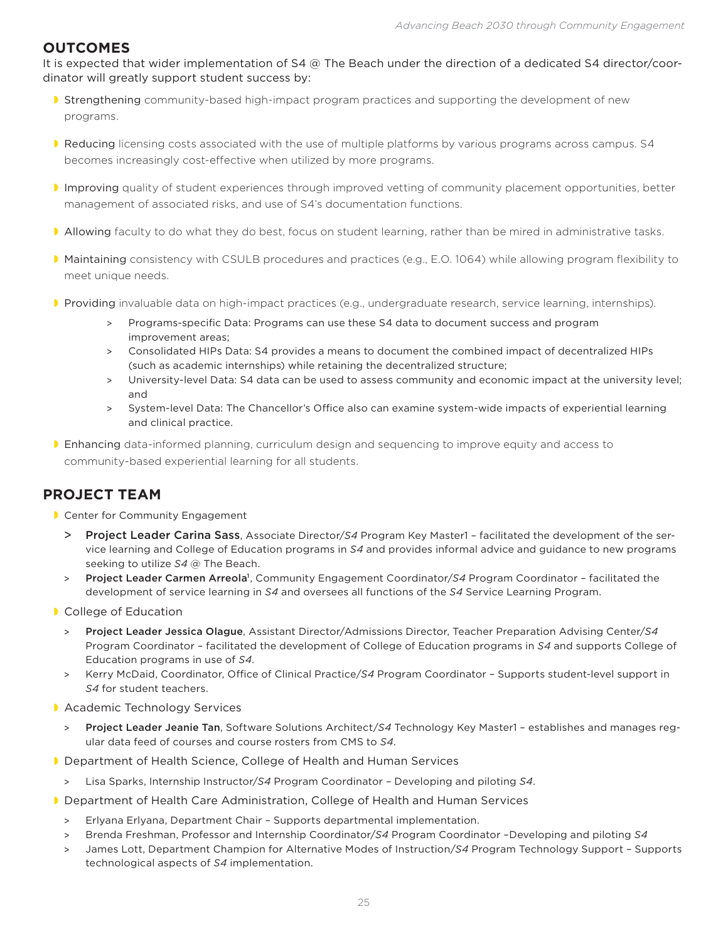## **OUTCOMES**

It is expected that wider implementation of S4 @ The Beach under the direction of a dedicated S4 director/coordinator will greatly support student success by:

- **Strengthening community-based high-impact program practices and supporting the development of new** programs.
- Reducing licensing costs associated with the use of multiple platforms by various programs across campus. S4 becomes increasingly cost-effective when utilized by more programs.
- Improving quality of student experiences through improved vetting of community placement opportunities, better management of associated risks, and use of S4's documentation functions.
- Allowing faculty to do what they do best, focus on student learning, rather than be mired in administrative tasks.
- Maintaining consistency with CSULB procedures and practices (e.g., E.O. 1064) while allowing program flexibility to meet unique needs.
- Providing invaluable data on high-impact practices (e.g., undergraduate research, service learning, internships).
	- > Programs-specific Data: Programs can use these S4 data to document success and program improvement areas;
	- > Consolidated HIPs Data: S4 provides a means to document the combined impact of decentralized HIPs (such as academic internships) while retaining the decentralized structure;
	- > University-level Data: S4 data can be used to assess community and economic impact at the university level; and
	- > System-level Data: The Chancellor's Office also can examine system-wide impacts of experiential learning and clinical practice.
- Enhancing data-informed planning, curriculum design and sequencing to improve equity and access to community-based experiential learning for all students.

## **PROJECT TEAM**

- **Center for Community Engagement** 
	- > Project Leader Carina Sass, Associate Director/*S4* Program Key Master1 facilitated the development of the service learning and College of Education programs in *S4* and provides informal advice and guidance to new programs seeking to utilize *S4* @ The Beach.
	- > Project Leader Carmen Arreola<sup>1</sup>, Community Engagement Coordinator/S4 Program Coordinator facilitated the development of service learning in *S4* and oversees all functions of the *S4* Service Learning Program.
- **College of Education** 
	- > Project Leader Jessica Olague, Assistant Director/Admissions Director, Teacher Preparation Advising Center/*S4* Program Coordinator – facilitated the development of College of Education programs in *S4* and supports College of Education programs in use of *S4*.
	- > Kerry McDaid, Coordinator, Office of Clinical Practice/*S4* Program Coordinator Supports student-level support in *S4* for student teachers.
- **Academic Technology Services** 
	- > Project Leader Jeanie Tan, Software Solutions Architect/*S4* Technology Key Master1 establishes and manages regular data feed of courses and course rosters from CMS to *S4*.
- **D** Department of Health Science, College of Health and Human Services
- > Lisa Sparks, Internship Instructor/*S4* Program Coordinator Developing and piloting *S4*.
- Department of Health Care Administration, College of Health and Human Services
	- > Erlyana Erlyana, Department Chair Supports departmental implementation.
	- > Brenda Freshman, Professor and Internship Coordinator/*S4* Program Coordinator –Developing and piloting *S4*
	- > James Lott, Department Champion for Alternative Modes of Instruction/*S4* Program Technology Support Supports technological aspects of *S4* implementation.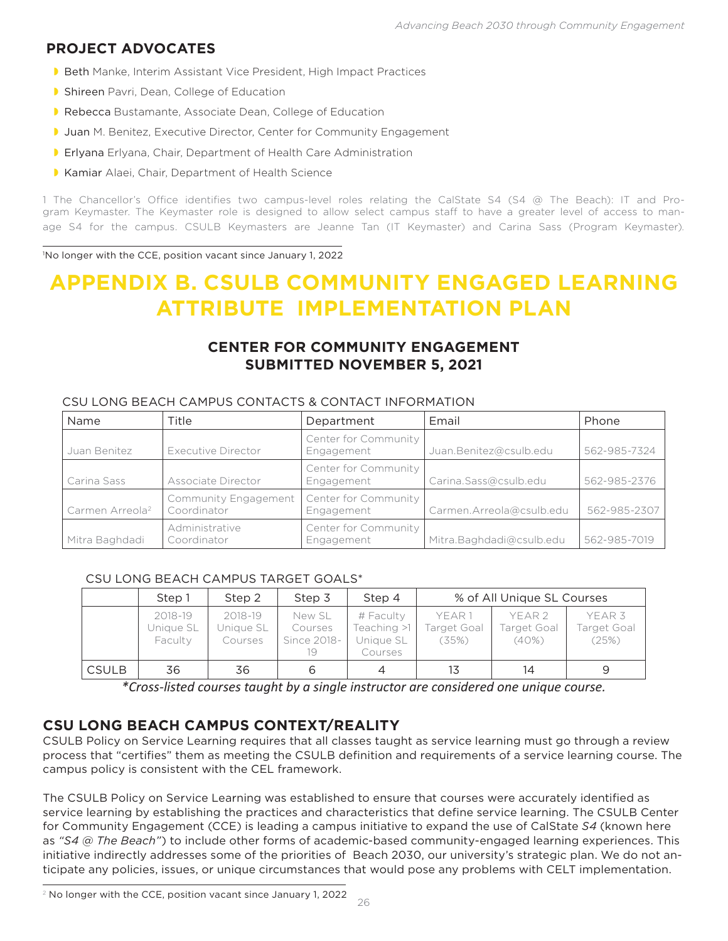## **PROJECT ADVOCATES**

- **Beth Manke, Interim Assistant Vice President, High Impact Practices**
- **B** Shireen Pavri, Dean, College of Education
- Rebecca Bustamante, Associate Dean, College of Education
- **Juan M. Benitez, Executive Director, Center for Community Engagement**
- **Erlyana** Erlyana, Chair, Department of Health Care Administration
- **Kamiar Alaei, Chair, Department of Health Science**

1 The Chancellor's Office identifies two campus-level roles relating the CalState S4 (S4 @ The Beach): IT and Program Keymaster. The Keymaster role is designed to allow select campus staff to have a greater level of access to manage S4 for the campus. CSULB Keymasters are Jeanne Tan (IT Keymaster) and Carina Sass (Program Keymaster)*.*

1 No longer with the CCE, position vacant since January 1, 2022

## **APPENDIX B. CSULB COMMUNITY ENGAGED LEARNING ATTRIBUTE IMPLEMENTATION PLAN**

## **CENTER FOR COMMUNITY ENGAGEMENT SUBMITTED NOVEMBER 5, 2021**

| Name                        | Title                               | Department                         | Email                    | Phone        |
|-----------------------------|-------------------------------------|------------------------------------|--------------------------|--------------|
| Juan Benitez                | Executive Director                  | Center for Community<br>Engagement | Juan.Benitez@csulb.edu   | 562-985-7324 |
| Carina Sass                 | Associate Director                  | Center for Community<br>Engagement | Carina.Sass@csulb.edu    | 562-985-2376 |
| Carmen Arreola <sup>2</sup> | Community Engagement<br>Coordinator | Center for Community<br>Engagement | Carmen.Arreola@csulb.edu | 562-985-2307 |
| Mitra Baghdadi              | Administrative<br>Coordinator       | Center for Community<br>Engagement | Mitra.Baghdadi@csulb.edu | 562-985-7019 |

#### CSU LONG BEACH CAMPUS CONTACTS & CONTACT INFORMATION

#### CSU LONG BEACH CAMPUS TARGET GOALS\*

|              | Step 1                          | Step 2                          | Step 3                                 | Step 4                                           |                                       | % of All Unique SL Courses                |                                           |
|--------------|---------------------------------|---------------------------------|----------------------------------------|--------------------------------------------------|---------------------------------------|-------------------------------------------|-------------------------------------------|
|              | 2018-19<br>Unique SL<br>Faculty | 2018-19<br>Unique SL<br>Courses | New SL<br>Courses<br>Since 2018-<br>19 | # Faculty<br>Teaching >1<br>Unique SL<br>Courses | YEAR 1<br><b>Target Goal</b><br>(35%) | YEAR <sub>2</sub><br>Target Goal<br>(40%) | YEAR <sub>3</sub><br>Target Goal<br>(25%) |
| <b>CSULB</b> | 36                              | 36                              | 6                                      | 4                                                | 13                                    | 14                                        | 9                                         |

*\*Cross-listed courses taught by a single instructor are considered one unique course.*

## **CSU LONG BEACH CAMPUS CONTEXT/REALITY**

CSULB Policy on Service Learning requires that all classes taught as service learning must go through a review process that "certifies" them as meeting the CSULB definition and requirements of a service learning course. The campus policy is consistent with the CEL framework.

The CSULB Policy on Service Learning was established to ensure that courses were accurately identified as service learning by establishing the practices and characteristics that define service learning. The CSULB Center for Community Engagement (CCE) is leading a campus initiative to expand the use of CalState *S4* (known here as *"S4 @ The Beach"*) to include other forms of academic-based community-engaged learning experiences. This initiative indirectly addresses some of the priorities of Beach 2030, our university's strategic plan. We do not anticipate any policies, issues, or unique circumstances that would pose any problems with CELT implementation.

 $2$  No longer with the CCE, position vacant since January 1, 2022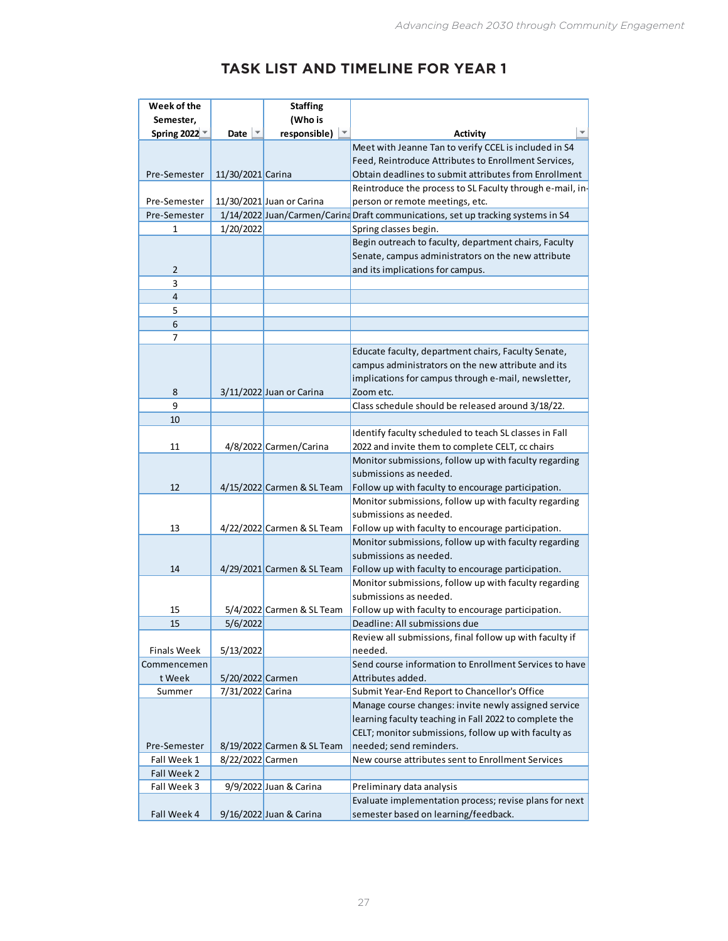## **TASK LIST AND TIMELINE FOR YEAR 1**

| Week of the        |                               | <b>Staffing</b>            |                                                                                                             |
|--------------------|-------------------------------|----------------------------|-------------------------------------------------------------------------------------------------------------|
| Semester,          |                               | (Who is                    |                                                                                                             |
| Spring 2022        | Date $\overline{\phantom{a}}$ | responsible)               | <b>Activity</b>                                                                                             |
|                    |                               |                            | Meet with Jeanne Tan to verify CCEL is included in S4                                                       |
|                    |                               |                            | Feed, Reintroduce Attributes to Enrollment Services,                                                        |
| Pre-Semester       | 11/30/2021 Carina             |                            | Obtain deadlines to submit attributes from Enrollment                                                       |
|                    |                               |                            | Reintroduce the process to SL Faculty through e-mail, in-                                                   |
| Pre-Semester       |                               | 11/30/2021 Juan or Carina  | person or remote meetings, etc.                                                                             |
| Pre-Semester       |                               |                            | 1/14/2022 Juan/Carmen/Carina Draft communications, set up tracking systems in S4                            |
| 1                  | 1/20/2022                     |                            | Spring classes begin.                                                                                       |
|                    |                               |                            | Begin outreach to faculty, department chairs, Faculty<br>Senate, campus administrators on the new attribute |
| $\overline{2}$     |                               |                            | and its implications for campus.                                                                            |
| 3                  |                               |                            |                                                                                                             |
| $\overline{4}$     |                               |                            |                                                                                                             |
| 5                  |                               |                            |                                                                                                             |
| 6                  |                               |                            |                                                                                                             |
| 7                  |                               |                            |                                                                                                             |
|                    |                               |                            | Educate faculty, department chairs, Faculty Senate,                                                         |
|                    |                               |                            | campus administrators on the new attribute and its                                                          |
|                    |                               |                            | implications for campus through e-mail, newsletter,                                                         |
| 8                  |                               | 3/11/2022 Juan or Carina   | Zoom etc.                                                                                                   |
| 9                  |                               |                            | Class schedule should be released around 3/18/22.                                                           |
| 10                 |                               |                            |                                                                                                             |
|                    |                               |                            | Identify faculty scheduled to teach SL classes in Fall                                                      |
| 11                 |                               | 4/8/2022 Carmen/Carina     | 2022 and invite them to complete CELT, cc chairs                                                            |
|                    |                               |                            | Monitor submissions, follow up with faculty regarding                                                       |
|                    |                               |                            | submissions as needed.                                                                                      |
| 12                 |                               | 4/15/2022 Carmen & SL Team | Follow up with faculty to encourage participation.                                                          |
|                    |                               |                            | Monitor submissions, follow up with faculty regarding                                                       |
|                    |                               |                            | submissions as needed.                                                                                      |
| 13                 |                               | 4/22/2022 Carmen & SL Team | Follow up with faculty to encourage participation.                                                          |
|                    |                               |                            | Monitor submissions, follow up with faculty regarding                                                       |
|                    |                               |                            | submissions as needed.                                                                                      |
| 14                 |                               | 4/29/2021 Carmen & SL Team | Follow up with faculty to encourage participation.                                                          |
|                    |                               |                            | Monitor submissions, follow up with faculty regarding                                                       |
|                    |                               |                            | submissions as needed.                                                                                      |
| 15<br>15           | 5/6/2022                      | 5/4/2022 Carmen & SL Team  | Follow up with faculty to encourage participation.<br>Deadline: All submissions due                         |
|                    |                               |                            | Review all submissions, final follow up with faculty if                                                     |
| <b>Finals Week</b> | 5/13/2022                     |                            | needed.                                                                                                     |
| Commencemen        |                               |                            | Send course information to Enrollment Services to have                                                      |
| t Week             | 5/20/2022 Carmen              |                            | Attributes added.                                                                                           |
| Summer             | 7/31/2022 Carina              |                            | Submit Year-End Report to Chancellor's Office                                                               |
|                    |                               |                            | Manage course changes: invite newly assigned service                                                        |
|                    |                               |                            | learning faculty teaching in Fall 2022 to complete the                                                      |
|                    |                               |                            | CELT; monitor submissions, follow up with faculty as                                                        |
| Pre-Semester       |                               | 8/19/2022 Carmen & SL Team | needed; send reminders.                                                                                     |
| Fall Week 1        | 8/22/2022 Carmen              |                            | New course attributes sent to Enrollment Services                                                           |
| Fall Week 2        |                               |                            |                                                                                                             |
| Fall Week 3        |                               | 9/9/2022 Juan & Carina     | Preliminary data analysis                                                                                   |
|                    |                               |                            | Evaluate implementation process; revise plans for next                                                      |
| Fall Week 4        |                               | 9/16/2022 Juan & Carina    | semester based on learning/feedback.                                                                        |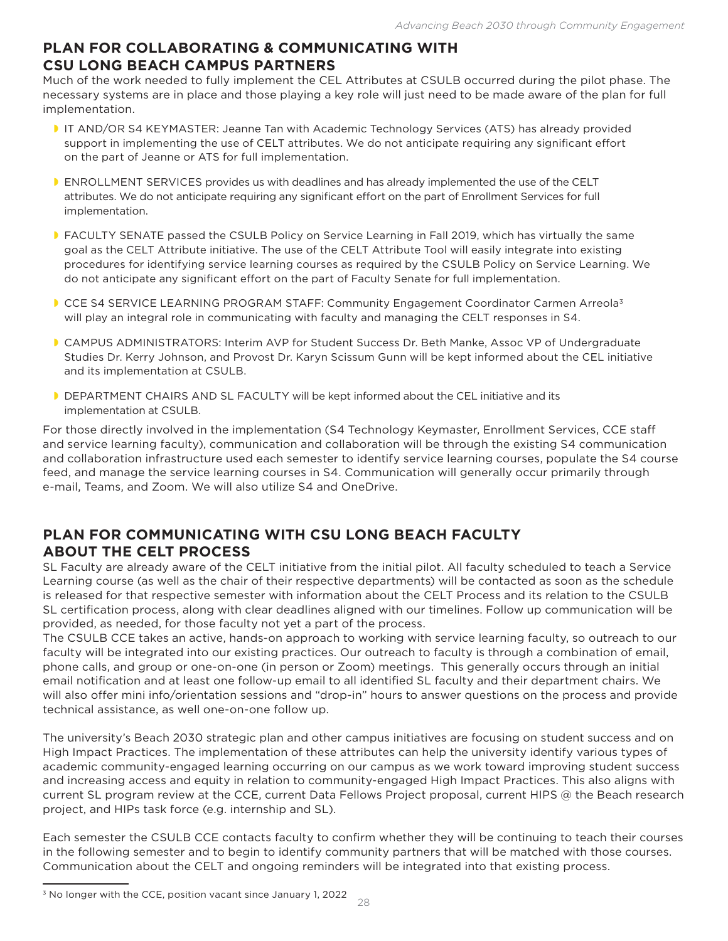## **PLAN FOR COLLABORATING & COMMUNICATING WITH CSU LONG BEACH CAMPUS PARTNERS**

Much of the work needed to fully implement the CEL Attributes at CSULB occurred during the pilot phase. The necessary systems are in place and those playing a key role will just need to be made aware of the plan for full implementation.

- IT AND/OR S4 KEYMASTER: Jeanne Tan with Academic Technology Services (ATS) has already provided support in implementing the use of CELT attributes. We do not anticipate requiring any significant effort on the part of Jeanne or ATS for full implementation.
- **ENROLLMENT SERVICES provides us with deadlines and has already implemented the use of the CELT** attributes. We do not anticipate requiring any significant effort on the part of Enrollment Services for full implementation.
- FACULTY SENATE passed the CSULB Policy on Service Learning in Fall 2019, which has virtually the same goal as the CELT Attribute initiative. The use of the CELT Attribute Tool will easily integrate into existing procedures for identifying service learning courses as required by the CSULB Policy on Service Learning. We do not anticipate any significant effort on the part of Faculty Senate for full implementation.
- CCE S4 SERVICE LEARNING PROGRAM STAFF: Community Engagement Coordinator Carmen Arreola<sup>3</sup> will play an integral role in communicating with faculty and managing the CELT responses in S4.
- CAMPUS ADMINISTRATORS: Interim AVP for Student Success Dr. Beth Manke, Assoc VP of Undergraduate Studies Dr. Kerry Johnson, and Provost Dr. Karyn Scissum Gunn will be kept informed about the CEL initiative and its implementation at CSULB.
- DEPARTMENT CHAIRS AND SL FACULTY will be kept informed about the CEL initiative and its implementation at CSULB.

For those directly involved in the implementation (S4 Technology Keymaster, Enrollment Services, CCE staff and service learning faculty), communication and collaboration will be through the existing S4 communication and collaboration infrastructure used each semester to identify service learning courses, populate the S4 course feed, and manage the service learning courses in S4. Communication will generally occur primarily through e-mail, Teams, and Zoom. We will also utilize S4 and OneDrive.

## **PLAN FOR COMMUNICATING WITH CSU LONG BEACH FACULTY ABOUT THE CELT PROCESS**

SL Faculty are already aware of the CELT initiative from the initial pilot. All faculty scheduled to teach a Service Learning course (as well as the chair of their respective departments) will be contacted as soon as the schedule is released for that respective semester with information about the CELT Process and its relation to the CSULB SL certification process, along with clear deadlines aligned with our timelines. Follow up communication will be provided, as needed, for those faculty not yet a part of the process.

The CSULB CCE takes an active, hands-on approach to working with service learning faculty, so outreach to our faculty will be integrated into our existing practices. Our outreach to faculty is through a combination of email, phone calls, and group or one-on-one (in person or Zoom) meetings. This generally occurs through an initial email notification and at least one follow-up email to all identified SL faculty and their department chairs. We will also offer mini info/orientation sessions and "drop-in" hours to answer questions on the process and provide technical assistance, as well one-on-one follow up.

The university's Beach 2030 strategic plan and other campus initiatives are focusing on student success and on High Impact Practices. The implementation of these attributes can help the university identify various types of academic community-engaged learning occurring on our campus as we work toward improving student success and increasing access and equity in relation to community-engaged High Impact Practices. This also aligns with current SL program review at the CCE, current Data Fellows Project proposal, current HIPS @ the Beach research project, and HIPs task force (e.g. internship and SL).

Each semester the CSULB CCE contacts faculty to confirm whether they will be continuing to teach their courses in the following semester and to begin to identify community partners that will be matched with those courses. Communication about the CELT and ongoing reminders will be integrated into that existing process.

<sup>&</sup>lt;sup>3</sup> No longer with the CCE, position vacant since January 1, 2022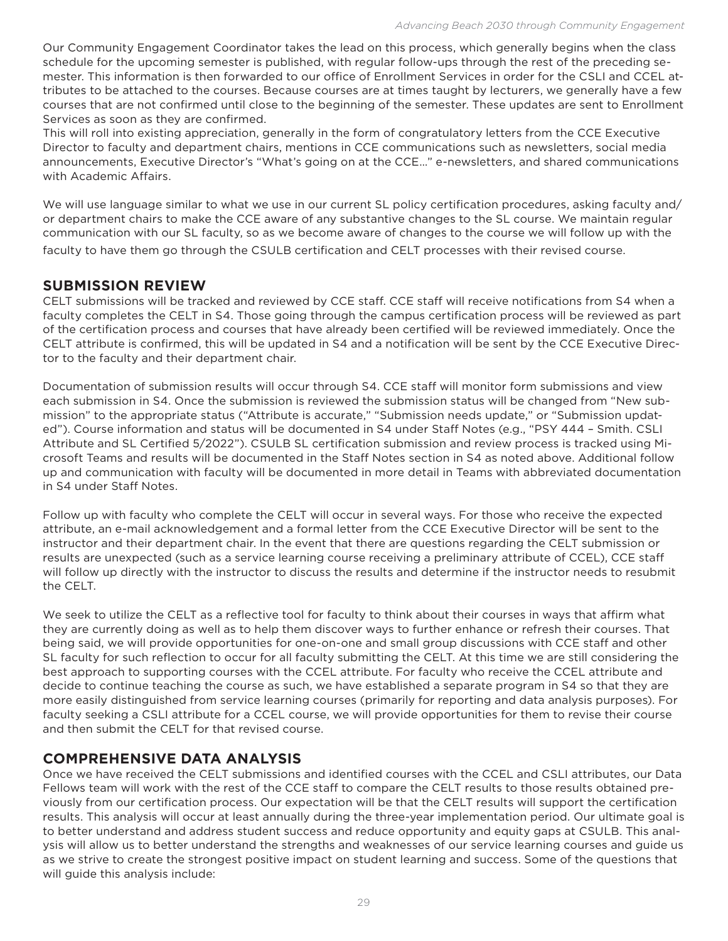Our Community Engagement Coordinator takes the lead on this process, which generally begins when the class schedule for the upcoming semester is published, with regular follow-ups through the rest of the preceding semester. This information is then forwarded to our office of Enrollment Services in order for the CSLI and CCEL attributes to be attached to the courses. Because courses are at times taught by lecturers, we generally have a few courses that are not confirmed until close to the beginning of the semester. These updates are sent to Enrollment Services as soon as they are confirmed.

This will roll into existing appreciation, generally in the form of congratulatory letters from the CCE Executive Director to faculty and department chairs, mentions in CCE communications such as newsletters, social media announcements, Executive Director's "What's going on at the CCE…" e-newsletters, and shared communications with Academic Affairs.

We will use language similar to what we use in our current SL policy certification procedures, asking faculty and/ or department chairs to make the CCE aware of any substantive changes to the SL course. We maintain regular communication with our SL faculty, so as we become aware of changes to the course we will follow up with the faculty to have them go through the CSULB certification and CELT processes with their revised course.

## **SUBMISSION REVIEW**

CELT submissions will be tracked and reviewed by CCE staff. CCE staff will receive notifications from S4 when a faculty completes the CELT in S4. Those going through the campus certification process will be reviewed as part of the certification process and courses that have already been certified will be reviewed immediately. Once the CELT attribute is confirmed, this will be updated in S4 and a notification will be sent by the CCE Executive Director to the faculty and their department chair.

Documentation of submission results will occur through S4. CCE staff will monitor form submissions and view each submission in S4. Once the submission is reviewed the submission status will be changed from "New submission" to the appropriate status ("Attribute is accurate," "Submission needs update," or "Submission updated"). Course information and status will be documented in S4 under Staff Notes (e.g., "PSY 444 – Smith. CSLI Attribute and SL Certified 5/2022"). CSULB SL certification submission and review process is tracked using Microsoft Teams and results will be documented in the Staff Notes section in S4 as noted above. Additional follow up and communication with faculty will be documented in more detail in Teams with abbreviated documentation in S4 under Staff Notes.

Follow up with faculty who complete the CELT will occur in several ways. For those who receive the expected attribute, an e-mail acknowledgement and a formal letter from the CCE Executive Director will be sent to the instructor and their department chair. In the event that there are questions regarding the CELT submission or results are unexpected (such as a service learning course receiving a preliminary attribute of CCEL), CCE staff will follow up directly with the instructor to discuss the results and determine if the instructor needs to resubmit the CELT.

We seek to utilize the CELT as a reflective tool for faculty to think about their courses in ways that affirm what they are currently doing as well as to help them discover ways to further enhance or refresh their courses. That being said, we will provide opportunities for one-on-one and small group discussions with CCE staff and other SL faculty for such reflection to occur for all faculty submitting the CELT. At this time we are still considering the best approach to supporting courses with the CCEL attribute. For faculty who receive the CCEL attribute and decide to continue teaching the course as such, we have established a separate program in S4 so that they are more easily distinguished from service learning courses (primarily for reporting and data analysis purposes). For faculty seeking a CSLI attribute for a CCEL course, we will provide opportunities for them to revise their course and then submit the CELT for that revised course.

## **COMPREHENSIVE DATA ANALYSIS**

Once we have received the CELT submissions and identified courses with the CCEL and CSLI attributes, our Data Fellows team will work with the rest of the CCE staff to compare the CELT results to those results obtained previously from our certification process. Our expectation will be that the CELT results will support the certification results. This analysis will occur at least annually during the three-year implementation period. Our ultimate goal is to better understand and address student success and reduce opportunity and equity gaps at CSULB. This analysis will allow us to better understand the strengths and weaknesses of our service learning courses and guide us as we strive to create the strongest positive impact on student learning and success. Some of the questions that will guide this analysis include: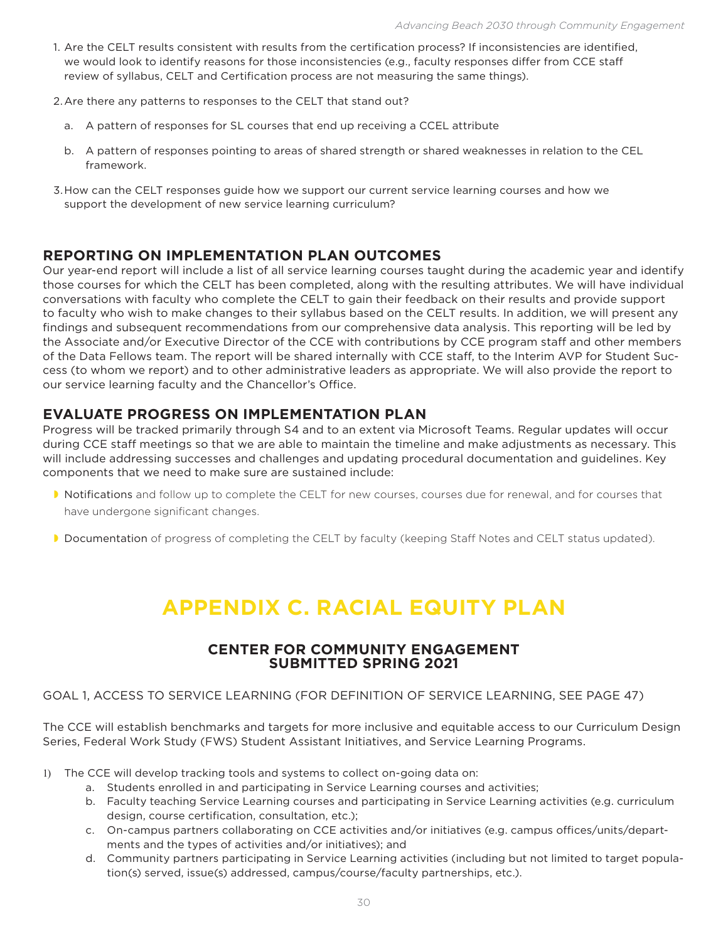- 1. Are the CELT results consistent with results from the certification process? If inconsistencies are identified, we would look to identify reasons for those inconsistencies (e.g., faculty responses differ from CCE staff review of syllabus, CELT and Certification process are not measuring the same things).
- 2.Are there any patterns to responses to the CELT that stand out?
	- a. A pattern of responses for SL courses that end up receiving a CCEL attribute
	- b. A pattern of responses pointing to areas of shared strength or shared weaknesses in relation to the CEL framework.
- 3.How can the CELT responses guide how we support our current service learning courses and how we support the development of new service learning curriculum?

## **REPORTING ON IMPLEMENTATION PLAN OUTCOMES**

Our year-end report will include a list of all service learning courses taught during the academic year and identify those courses for which the CELT has been completed, along with the resulting attributes. We will have individual conversations with faculty who complete the CELT to gain their feedback on their results and provide support to faculty who wish to make changes to their syllabus based on the CELT results. In addition, we will present any findings and subsequent recommendations from our comprehensive data analysis. This reporting will be led by the Associate and/or Executive Director of the CCE with contributions by CCE program staff and other members of the Data Fellows team. The report will be shared internally with CCE staff, to the Interim AVP for Student Success (to whom we report) and to other administrative leaders as appropriate. We will also provide the report to our service learning faculty and the Chancellor's Office.

## **EVALUATE PROGRESS ON IMPLEMENTATION PLAN**

Progress will be tracked primarily through S4 and to an extent via Microsoft Teams. Regular updates will occur during CCE staff meetings so that we are able to maintain the timeline and make adjustments as necessary. This will include addressing successes and challenges and updating procedural documentation and guidelines. Key components that we need to make sure are sustained include:

- Notifications and follow up to complete the CELT for new courses, courses due for renewal, and for courses that have undergone significant changes.
- Documentation of progress of completing the CELT by faculty (keeping Staff Notes and CELT status updated).

## **APPENDIX C. RACIAL EQUITY PLAN**

#### **CENTER FOR COMMUNITY ENGAGEMENT SUBMITTED SPRING 2021**

#### GOAL 1, ACCESS TO SERVICE LEARNING (FOR DEFINITION OF SERVICE LEARNING, SEE PAGE 47)

The CCE will establish benchmarks and targets for more inclusive and equitable access to our Curriculum Design Series, Federal Work Study (FWS) Student Assistant Initiatives, and Service Learning Programs.

- 1) The CCE will develop tracking tools and systems to collect on-going data on:
	- a. Students enrolled in and participating in Service Learning courses and activities;
	- b. Faculty teaching Service Learning courses and participating in Service Learning activities (e.g. curriculum design, course certification, consultation, etc.);
	- c. On-campus partners collaborating on CCE activities and/or initiatives (e.g. campus offices/units/departments and the types of activities and/or initiatives); and
	- d. Community partners participating in Service Learning activities (including but not limited to target population(s) served, issue(s) addressed, campus/course/faculty partnerships, etc.).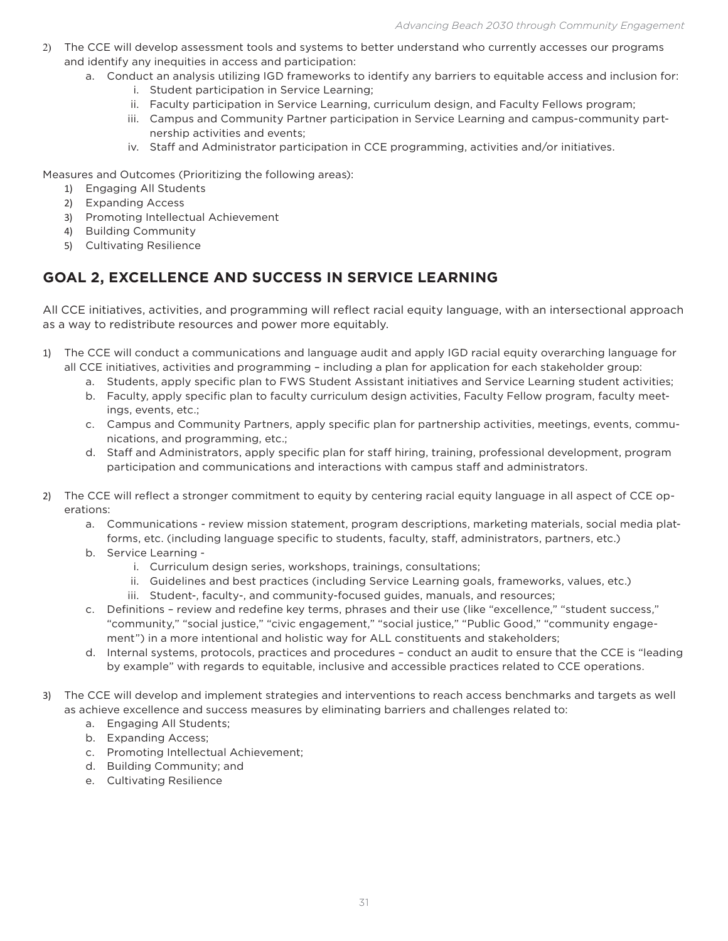- 2) The CCE will develop assessment tools and systems to better understand who currently accesses our programs and identify any inequities in access and participation:
	- a. Conduct an analysis utilizing IGD frameworks to identify any barriers to equitable access and inclusion for:
		- i. Student participation in Service Learning;
		- ii. Faculty participation in Service Learning, curriculum design, and Faculty Fellows program;
		- iii. Campus and Community Partner participation in Service Learning and campus-community partnership activities and events;
		- iv. Staff and Administrator participation in CCE programming, activities and/or initiatives.

Measures and Outcomes (Prioritizing the following areas):

- 1) Engaging All Students
- 2) Expanding Access
- 3) Promoting Intellectual Achievement
- 4) Building Community
- 5) Cultivating Resilience

## **GOAL 2, EXCELLENCE AND SUCCESS IN SERVICE LEARNING**

All CCE initiatives, activities, and programming will reflect racial equity language, with an intersectional approach as a way to redistribute resources and power more equitably.

- 1) The CCE will conduct a communications and language audit and apply IGD racial equity overarching language for all CCE initiatives, activities and programming – including a plan for application for each stakeholder group:
	- a. Students, apply specific plan to FWS Student Assistant initiatives and Service Learning student activities;
	- b. Faculty, apply specific plan to faculty curriculum design activities, Faculty Fellow program, faculty meetings, events, etc.;
	- c. Campus and Community Partners, apply specific plan for partnership activities, meetings, events, communications, and programming, etc.;
	- d. Staff and Administrators, apply specific plan for staff hiring, training, professional development, program participation and communications and interactions with campus staff and administrators.
- 2) The CCE will reflect a stronger commitment to equity by centering racial equity language in all aspect of CCE operations:
	- a. Communications review mission statement, program descriptions, marketing materials, social media platforms, etc. (including language specific to students, faculty, staff, administrators, partners, etc.)
	- b. Service Learning
		- i. Curriculum design series, workshops, trainings, consultations;
		- ii. Guidelines and best practices (including Service Learning goals, frameworks, values, etc.)
		- iii. Student-, faculty-, and community-focused guides, manuals, and resources;
	- c. Definitions review and redefine key terms, phrases and their use (like "excellence," "student success," "community," "social justice," "civic engagement," "social justice," "Public Good," "community engagement") in a more intentional and holistic way for ALL constituents and stakeholders;
	- d. Internal systems, protocols, practices and procedures conduct an audit to ensure that the CCE is "leading by example" with regards to equitable, inclusive and accessible practices related to CCE operations.
- 3) The CCE will develop and implement strategies and interventions to reach access benchmarks and targets as well as achieve excellence and success measures by eliminating barriers and challenges related to:
	- a. Engaging All Students;
	- b. Expanding Access;
	- c. Promoting Intellectual Achievement;
	- d. Building Community; and
	- e. Cultivating Resilience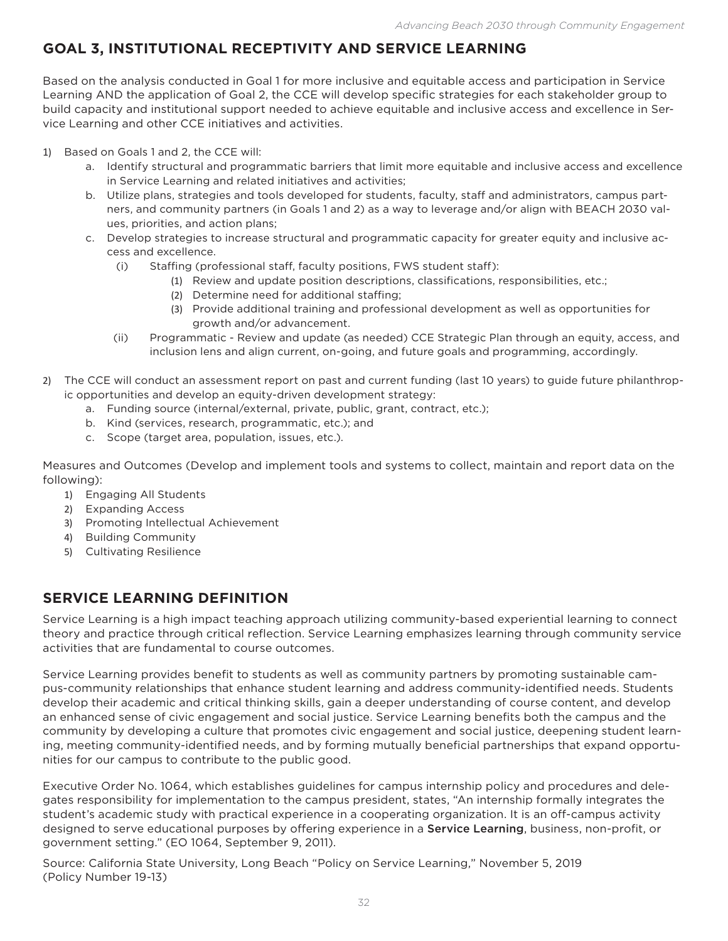## **GOAL 3, INSTITUTIONAL RECEPTIVITY AND SERVICE LEARNING**

Based on the analysis conducted in Goal 1 for more inclusive and equitable access and participation in Service Learning AND the application of Goal 2, the CCE will develop specific strategies for each stakeholder group to build capacity and institutional support needed to achieve equitable and inclusive access and excellence in Service Learning and other CCE initiatives and activities.

1) Based on Goals 1 and 2, the CCE will:

- a. Identify structural and programmatic barriers that limit more equitable and inclusive access and excellence in Service Learning and related initiatives and activities;
- b. Utilize plans, strategies and tools developed for students, faculty, staff and administrators, campus partners, and community partners (in Goals 1 and 2) as a way to leverage and/or align with BEACH 2030 values, priorities, and action plans;
- c. Develop strategies to increase structural and programmatic capacity for greater equity and inclusive access and excellence.
	- (i) Staffing (professional staff, faculty positions, FWS student staff):
		- (1) Review and update position descriptions, classifications, responsibilities, etc.;
		- (2) Determine need for additional staffing;
		- (3) Provide additional training and professional development as well as opportunities for growth and/or advancement.
	- (ii) Programmatic Review and update (as needed) CCE Strategic Plan through an equity, access, and inclusion lens and align current, on-going, and future goals and programming, accordingly.
- 2) The CCE will conduct an assessment report on past and current funding (last 10 years) to guide future philanthropic opportunities and develop an equity-driven development strategy:
	- a. Funding source (internal/external, private, public, grant, contract, etc.);
	- b. Kind (services, research, programmatic, etc.); and
	- c. Scope (target area, population, issues, etc.).

Measures and Outcomes (Develop and implement tools and systems to collect, maintain and report data on the following):

- 1) Engaging All Students
- 2) Expanding Access
- 3) Promoting Intellectual Achievement
- 4) Building Community
- 5) Cultivating Resilience

## **SERVICE LEARNING DEFINITION**

Service Learning is a high impact teaching approach utilizing community-based experiential learning to connect theory and practice through critical reflection. Service Learning emphasizes learning through community service activities that are fundamental to course outcomes.

Service Learning provides benefit to students as well as community partners by promoting sustainable campus-community relationships that enhance student learning and address community-identified needs. Students develop their academic and critical thinking skills, gain a deeper understanding of course content, and develop an enhanced sense of civic engagement and social justice. Service Learning benefits both the campus and the community by developing a culture that promotes civic engagement and social justice, deepening student learning, meeting community-identified needs, and by forming mutually beneficial partnerships that expand opportunities for our campus to contribute to the public good.

Executive Order No. 1064, which establishes guidelines for campus internship policy and procedures and delegates responsibility for implementation to the campus president, states, "An internship formally integrates the student's academic study with practical experience in a cooperating organization. It is an off-campus activity designed to serve educational purposes by offering experience in a **Service Learning**, business, non-profit, or government setting." (EO 1064, September 9, 2011).

Source: California State University, Long Beach "Policy on Service Learning," November 5, 2019 (Policy Number 19-13)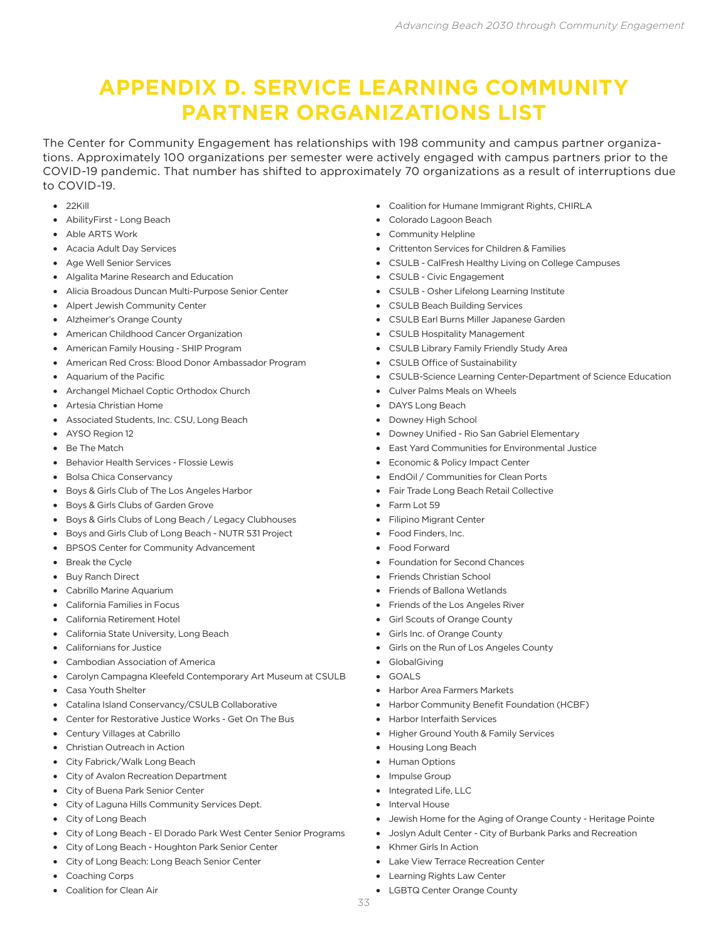# **APPENDIX D. SERVICE LEARNING COMMUNITY PARTNER ORGANIZATIONS LIST**

The Center for Community Engagement has relationships with 198 community and campus partner organizations. Approximately 100 organizations per semester were actively engaged with campus partners prior to the COVID-19 pandemic. That number has shifted to approximately 70 organizations as a result of interruptions due to COVID-19.

- $22$ Kill
- • AbilityFirst Long Beach
- • Able ARTS Work
- • Acacia Adult Day Services
- Age Well Senior Services
- • Algalita Marine Research and Education
- • Alicia Broadous Duncan Multi-Purpose Senior Center
- • Alpert Jewish Community Center
- • Alzheimer's Orange County
- • American Childhood Cancer Organization
- • American Family Housing SHIP Program
- • American Red Cross: Blood Donor Ambassador Program
- • Aquarium of the Pacific
- • Archangel Michael Coptic Orthodox Church
- • Artesia Christian Home
- Associated Students, Inc. CSU, Long Beach
- AYSO Region 12
- • Be The Match
- • Behavior Health Services Flossie Lewis
- • Bolsa Chica Conservancy
- • Boys & Girls Club of The Los Angeles Harbor
- • Boys & Girls Clubs of Garden Grove
- Boys & Girls Clubs of Long Beach / Legacy Clubhouses
- • Boys and Girls Club of Long Beach NUTR 531 Project
- • BPSOS Center for Community Advancement
- • Break the Cycle
- **Buy Ranch Direct**
- • Cabrillo Marine Aquarium
- • California Families in Focus
- • California Retirement Hotel
- • California State University, Long Beach
- • Californians for Justice
- • Cambodian Association of America
- Carolyn Campagna Kleefeld Contemporary Art Museum at CSULB
- • Casa Youth Shelter
- • Catalina Island Conservancy/CSULB Collaborative
- • Center for Restorative Justice Works Get On The Bus
- Century Villages at Cabrillo
- • Christian Outreach in Action
- • City Fabrick/Walk Long Beach
- • City of Avalon Recreation Department
- • City of Buena Park Senior Center
- • City of Laguna Hills Community Services Dept.
- • City of Long Beach
- City of Long Beach El Dorado Park West Center Senior Programs
- • City of Long Beach Houghton Park Senior Center
- • City of Long Beach: Long Beach Senior Center
- • Coaching Corps
- • Coalition for Clean Air
- • Coalition for Humane Immigrant Rights, CHIRLA
- Colorado Lagoon Beach
- • Community Helpline
- • Crittenton Services for Children & Families
- CSULB CalFresh Healthy Living on College Campuses
- • CSULB Civic Engagement
- • CSULB Osher Lifelong Learning Institute
- • CSULB Beach Building Services
- • CSULB Earl Burns Miller Japanese Garden
- • CSULB Hospitality Management
- • CSULB Library Family Friendly Study Area
- • CSULB Office of Sustainability
- • CSULB-Science Learning Center-Department of Science Education
- • Culver Palms Meals on Wheels
- • DAYS Long Beach
- Downey High School
- • Downey Unified Rio San Gabriel Elementary
- East Yard Communities for Environmental Justice
- Economic & Policy Impact Center
- EndOil / Communities for Clean Ports
- Fair Trade Long Beach Retail Collective
- Farm Lot 59
- • Filipino Migrant Center
- • Food Finders, Inc.
- • Food Forward
- • Foundation for Second Chances
- Friends Christian School
- • Friends of Ballona Wetlands
- Friends of the Los Angeles River
- • Girl Scouts of Orange County
- Girls Inc. of Orange County
- Girls on the Run of Los Angeles County
- **GlobalGiving**
- • GOALS
- • Harbor Area Farmers Markets
- Harbor Community Benefit Foundation (HCBF)
- • Harbor Interfaith Services
- Higher Ground Youth & Family Services
- • Housing Long Beach
- **Human Options**
- Impulse Group
- • Integrated Life, LLC
- Interval House

33

- Jewish Home for the Aging of Orange County Heritage Pointe
- Joslyn Adult Center City of Burbank Parks and Recreation
- **Khmer Girls In Action**
- • Lake View Terrace Recreation Center

LGBTQ Center Orange County

• Learning Rights Law Center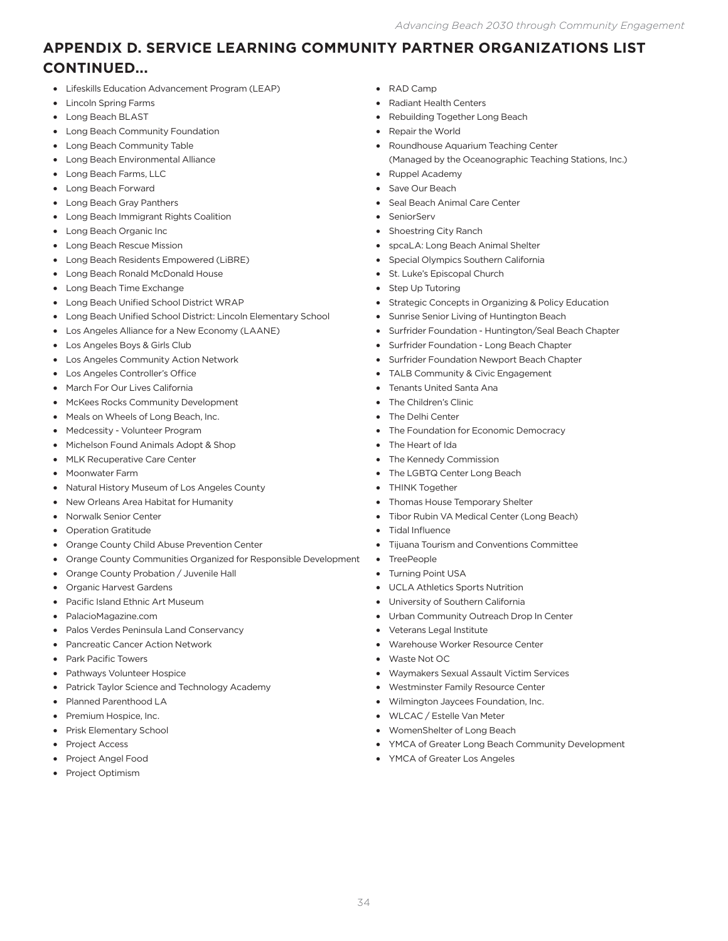## **APPENDIX D. SERVICE LEARNING COMMUNITY PARTNER ORGANIZATIONS LIST CONTINUED...**

- • Lifeskills Education Advancement Program (LEAP)
- • Lincoln Spring Farms
- • Long Beach BLAST
- Long Beach Community Foundation
- • Long Beach Community Table
- • Long Beach Environmental Alliance
- • Long Beach Farms, LLC
- • Long Beach Forward
- • Long Beach Gray Panthers
- • Long Beach Immigrant Rights Coalition
- Long Beach Organic Inc
- • Long Beach Rescue Mission
- • Long Beach Residents Empowered (LiBRE)
- • Long Beach Ronald McDonald House
- Long Beach Time Exchange
- • Long Beach Unified School District WRAP
- Long Beach Unified School District: Lincoln Elementary School
- • Los Angeles Alliance for a New Economy (LAANE)
- • Los Angeles Boys & Girls Club
- • Los Angeles Community Action Network
- • Los Angeles Controller's Office
- • March For Our Lives California
- • McKees Rocks Community Development
- Meals on Wheels of Long Beach, Inc.
- • Medcessity Volunteer Program
- Michelson Found Animals Adopt & Shop
- • MLK Recuperative Care Center
- • Moonwater Farm
- • Natural History Museum of Los Angeles County
- • New Orleans Area Habitat for Humanity
- • Norwalk Senior Center
- • Operation Gratitude
- • Orange County Child Abuse Prevention Center
- Orange County Communities Organized for Responsible Development
- • Orange County Probation / Juvenile Hall
- • Organic Harvest Gardens
- Pacific Island Ethnic Art Museum
- • PalacioMagazine.com
- • Palos Verdes Peninsula Land Conservancy
- Pancreatic Cancer Action Network
- Park Pacific Towers
- • Pathways Volunteer Hospice
- Patrick Taylor Science and Technology Academy
- • Planned Parenthood LA
- Premium Hospice, Inc.
- • Prisk Elementary School
- Project Access
- Project Angel Food
- Project Optimism
- • RAD Camp
- **Radiant Health Centers**
- Rebuilding Together Long Beach
- Repair the World
- Roundhouse Aquarium Teaching Center (Managed by the Oceanographic Teaching Stations, Inc.)
- • Ruppel Academy
- Save Our Beach
- Seal Beach Animal Care Center
- SeniorServ
- Shoestring City Ranch
- spcaLA: Long Beach Animal Shelter
- • Special Olympics Southern California
- St. Luke's Episcopal Church
- **Step Up Tutoring**
- • Strategic Concepts in Organizing & Policy Education
- Sunrise Senior Living of Huntington Beach
- Surfrider Foundation Huntington/Seal Beach Chapter
- Surfrider Foundation Long Beach Chapter
- • Surfrider Foundation Newport Beach Chapter
- TALB Community & Civic Engagement
- Tenants United Santa Ana
- The Children's Clinic
- The Delhi Center
- The Foundation for Economic Democracy
- The Heart of Ida
- • The Kennedy Commission
- The LGBTQ Center Long Beach
- THINK Together
- Thomas House Temporary Shelter
- Tibor Rubin VA Medical Center (Long Beach)
- **Tidal Influence**
- Tijuana Tourism and Conventions Committee
- • TreePeople
- • Turning Point USA
- • UCLA Athletics Sports Nutrition
- University of Southern California
- • Urban Community Outreach Drop In Center
- Veterans Legal Institute
- • Warehouse Worker Resource Center
- Waste Not OC
- • Waymakers Sexual Assault Victim Services
- • Westminster Family Resource Center
- • Wilmington Jaycees Foundation, Inc.
- • WLCAC / Estelle Van Meter
- • WomenShelter of Long Beach
- YMCA of Greater Long Beach Community Development
- • YMCA of Greater Los Angeles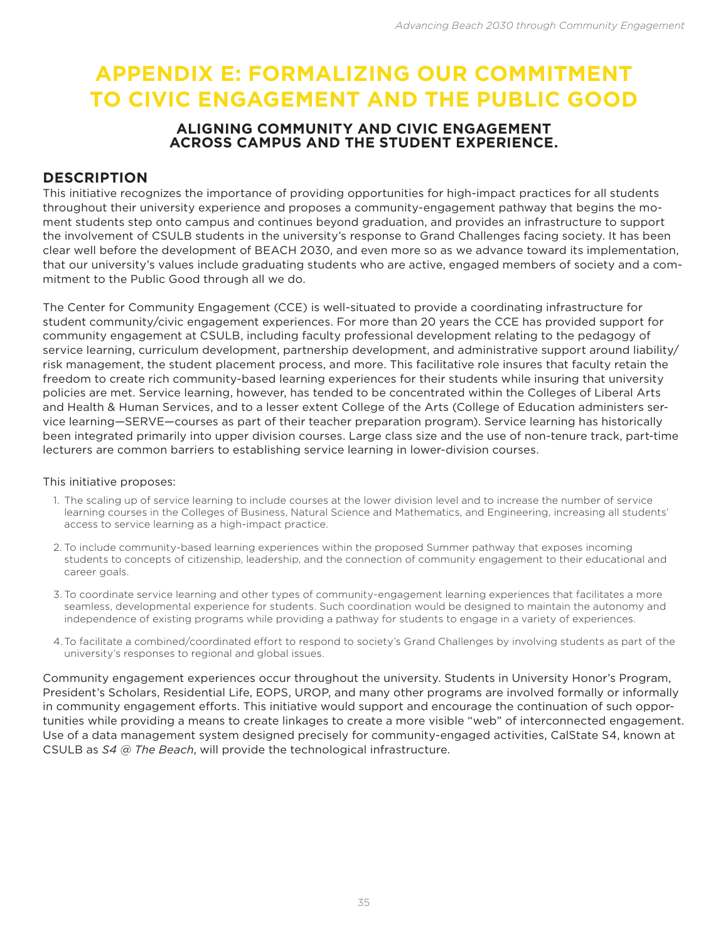# **APPENDIX E: FORMALIZING OUR COMMITMENT TO CIVIC ENGAGEMENT AND THE PUBLIC GOOD**

### **ALIGNING COMMUNITY AND CIVIC ENGAGEMENT ACROSS CAMPUS AND THE STUDENT EXPERIENCE.**

## **DESCRIPTION**

This initiative recognizes the importance of providing opportunities for high-impact practices for all students throughout their university experience and proposes a community-engagement pathway that begins the moment students step onto campus and continues beyond graduation, and provides an infrastructure to support the involvement of CSULB students in the university's response to Grand Challenges facing society. It has been clear well before the development of BEACH 2030, and even more so as we advance toward its implementation, that our university's values include graduating students who are active, engaged members of society and a commitment to the Public Good through all we do.

The Center for Community Engagement (CCE) is well-situated to provide a coordinating infrastructure for student community/civic engagement experiences. For more than 20 years the CCE has provided support for community engagement at CSULB, including faculty professional development relating to the pedagogy of service learning, curriculum development, partnership development, and administrative support around liability/ risk management, the student placement process, and more. This facilitative role insures that faculty retain the freedom to create rich community-based learning experiences for their students while insuring that university policies are met. Service learning, however, has tended to be concentrated within the Colleges of Liberal Arts and Health & Human Services, and to a lesser extent College of the Arts (College of Education administers service learning—SERVE—courses as part of their teacher preparation program). Service learning has historically been integrated primarily into upper division courses. Large class size and the use of non-tenure track, part-time lecturers are common barriers to establishing service learning in lower-division courses.

#### This initiative proposes:

- 1. The scaling up of service learning to include courses at the lower division level and to increase the number of service learning courses in the Colleges of Business, Natural Science and Mathematics, and Engineering, increasing all students' access to service learning as a high-impact practice.
- 2. To include community-based learning experiences within the proposed Summer pathway that exposes incoming students to concepts of citizenship, leadership, and the connection of community engagement to their educational and career goals.
- 3. To coordinate service learning and other types of community-engagement learning experiences that facilitates a more seamless, developmental experience for students. Such coordination would be designed to maintain the autonomy and independence of existing programs while providing a pathway for students to engage in a variety of experiences.
- 4.To facilitate a combined/coordinated effort to respond to society's Grand Challenges by involving students as part of the university's responses to regional and global issues.

Community engagement experiences occur throughout the university. Students in University Honor's Program, President's Scholars, Residential Life, EOPS, UROP, and many other programs are involved formally or informally in community engagement efforts. This initiative would support and encourage the continuation of such opportunities while providing a means to create linkages to create a more visible "web" of interconnected engagement. Use of a data management system designed precisely for community-engaged activities, CalState S4, known at CSULB as *S4 @ The Beach*, will provide the technological infrastructure.